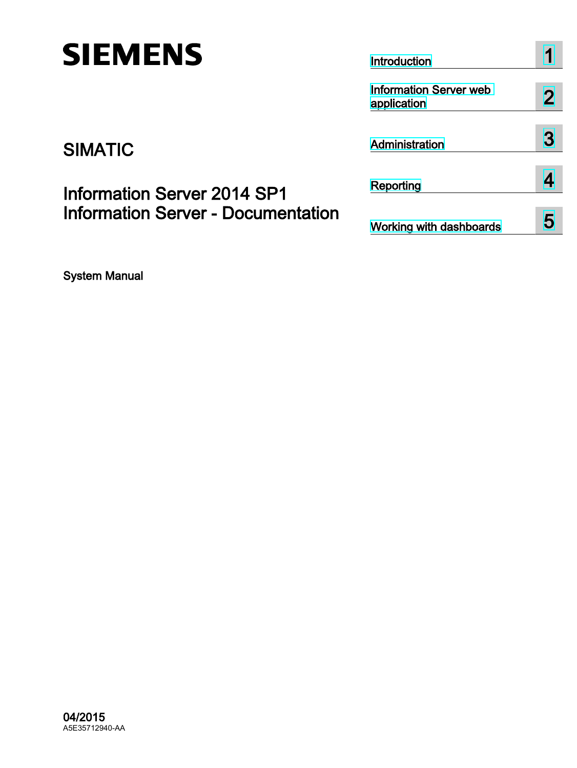## **SIEMENS**

| Introduction                                 |  |
|----------------------------------------------|--|
| <b>Information Server web</b><br>application |  |
| Administration                               |  |
| Reporting                                    |  |
| Working with dashboards                      |  |

## SIMATIC

## Information Server 2014 SP1 Information Server - Documentation

System Manual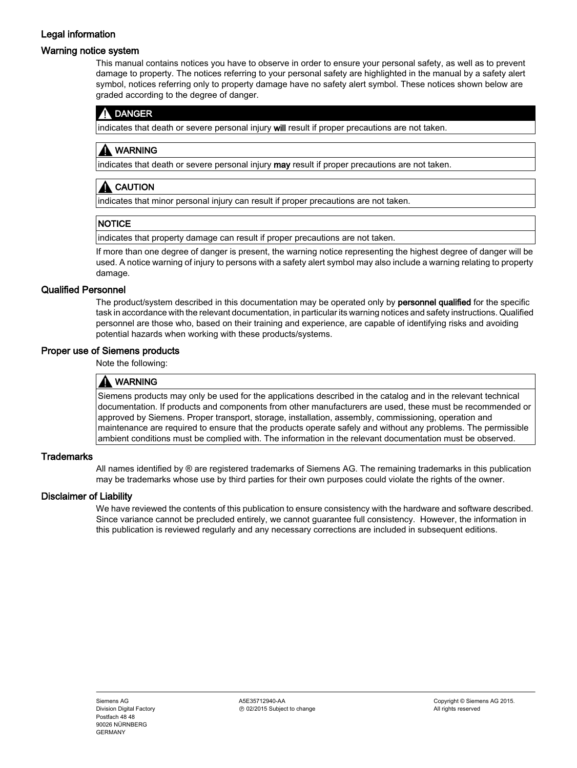#### Legal information

#### Warning notice system

This manual contains notices you have to observe in order to ensure your personal safety, as well as to prevent damage to property. The notices referring to your personal safety are highlighted in the manual by a safety alert symbol, notices referring only to property damage have no safety alert symbol. These notices shown below are graded according to the degree of danger.

#### DANGER

indicates that death or severe personal injury will result if proper precautions are not taken.

#### **A** WARNING

indicates that death or severe personal injury may result if proper precautions are not taken.

#### **A** CAUTION

indicates that minor personal injury can result if proper precautions are not taken.

#### **NOTICE**

indicates that property damage can result if proper precautions are not taken.

If more than one degree of danger is present, the warning notice representing the highest degree of danger will be used. A notice warning of injury to persons with a safety alert symbol may also include a warning relating to property damage.

#### Qualified Personnel

The product/system described in this documentation may be operated only by **personnel qualified** for the specific task in accordance with the relevant documentation, in particular its warning notices and safety instructions. Qualified personnel are those who, based on their training and experience, are capable of identifying risks and avoiding potential hazards when working with these products/systems.

#### Proper use of Siemens products

Note the following:

#### WARNING

Siemens products may only be used for the applications described in the catalog and in the relevant technical documentation. If products and components from other manufacturers are used, these must be recommended or approved by Siemens. Proper transport, storage, installation, assembly, commissioning, operation and maintenance are required to ensure that the products operate safely and without any problems. The permissible ambient conditions must be complied with. The information in the relevant documentation must be observed.

#### **Trademarks**

All names identified by ® are registered trademarks of Siemens AG. The remaining trademarks in this publication may be trademarks whose use by third parties for their own purposes could violate the rights of the owner.

#### Disclaimer of Liability

We have reviewed the contents of this publication to ensure consistency with the hardware and software described. Since variance cannot be precluded entirely, we cannot guarantee full consistency. However, the information in this publication is reviewed regularly and any necessary corrections are included in subsequent editions.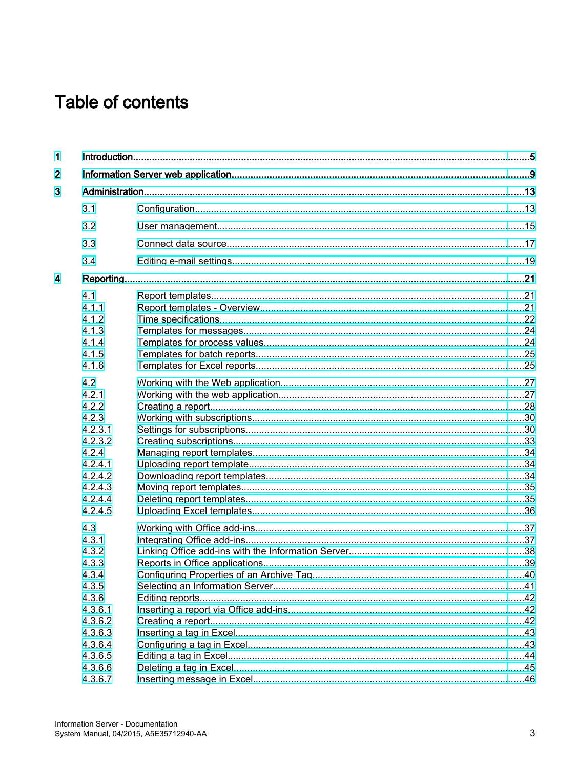## **Table of contents**

| 1                                                                                                                                                                                 |  |
|-----------------------------------------------------------------------------------------------------------------------------------------------------------------------------------|--|
| $\mathbf{2}$                                                                                                                                                                      |  |
| 3                                                                                                                                                                                 |  |
| 3.1                                                                                                                                                                               |  |
| 3.2                                                                                                                                                                               |  |
| 3.3                                                                                                                                                                               |  |
| 3.4                                                                                                                                                                               |  |
| $\overline{\mathbf{4}}$                                                                                                                                                           |  |
| 4.1<br>4.1.1<br>4.1.2<br>4.1.3<br>4.1.4<br>4.1.5<br>4.1.6<br>4.2<br>4.2.1<br>4.2.2<br>4.2.3<br>4.2.3.1<br>4.2.3.2<br>4.2.4<br>4.2.4.1<br>4.2.4.2<br>4.2.4.3<br>4.2.4.4<br>4.2.4.5 |  |
| 4.3<br>4.3.1<br>4.3.2<br>4.3.3<br>4.3.4<br>4.3.5<br>4.3.6<br>4.3.6.1<br>4.3.6.2<br>4.3.6.3<br>4.3.6.4<br>4.3.6.5<br>4.3.6.6<br>4.3.6.7                                            |  |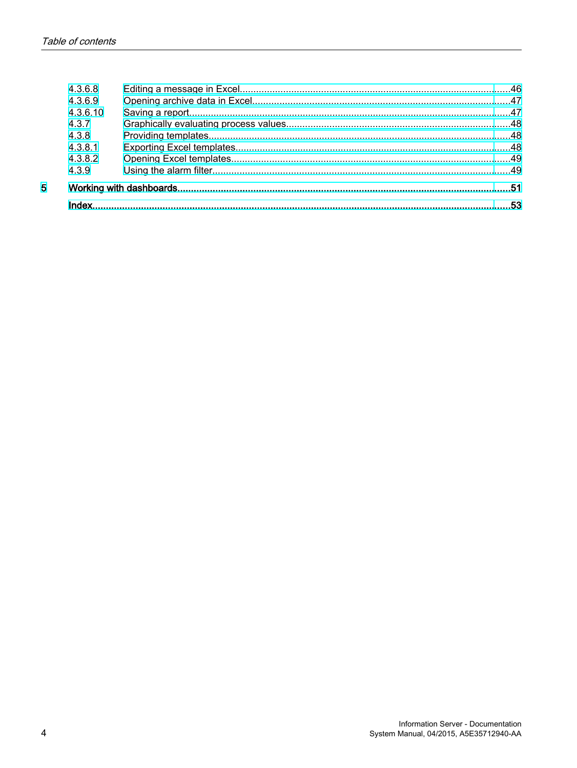|   | 4368     |  |
|---|----------|--|
|   | 4.3.6.9  |  |
|   | 4.3.6.10 |  |
|   | 437      |  |
|   | 4.3.8    |  |
|   | 4381     |  |
|   | 4382     |  |
|   | 439      |  |
| 5 |          |  |
|   |          |  |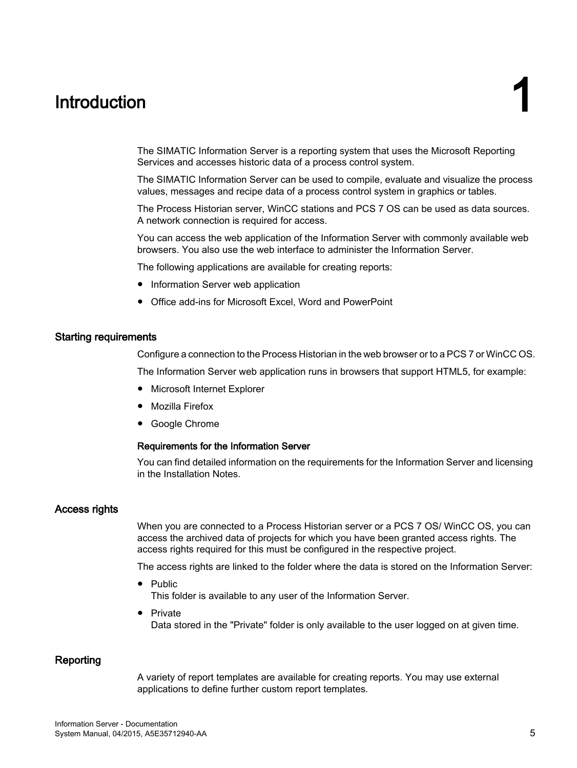# <span id="page-4-0"></span>Introduction **1996**

The SIMATIC Information Server is a reporting system that uses the Microsoft Reporting Services and accesses historic data of a process control system.

The SIMATIC Information Server can be used to compile, evaluate and visualize the process values, messages and recipe data of a process control system in graphics or tables.

The Process Historian server, WinCC stations and PCS 7 OS can be used as data sources. A network connection is required for access.

You can access the web application of the Information Server with commonly available web browsers. You also use the web interface to administer the Information Server.

The following applications are available for creating reports:

- Information Server web application
- Office add-ins for Microsoft Excel, Word and PowerPoint

#### Starting requirements

Configure a connection to the Process Historian in the web browser or to a PCS 7 or WinCC OS. The Information Server web application runs in browsers that support HTML5, for example:

- Microsoft Internet Explorer
- Mozilla Firefox
- Google Chrome

#### Requirements for the Information Server

You can find detailed information on the requirements for the Information Server and licensing in the Installation Notes.

#### Access rights

When you are connected to a Process Historian server or a PCS 7 OS/ WinCC OS, you can access the archived data of projects for which you have been granted access rights. The access rights required for this must be configured in the respective project.

The access rights are linked to the folder where the data is stored on the Information Server:

● Public

This folder is available to any user of the Information Server.

● Private Data stored in the "Private" folder is only available to the user logged on at given time.

#### Reporting

A variety of report templates are available for creating reports. You may use external applications to define further custom report templates.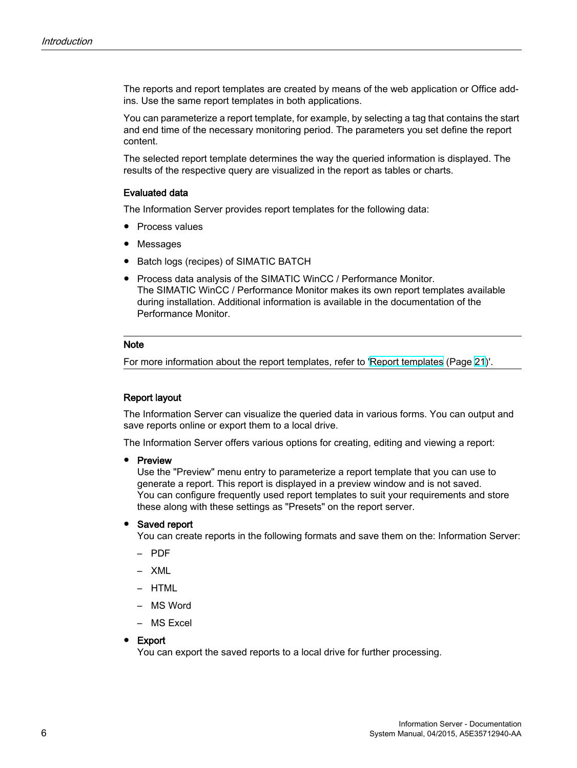The reports and report templates are created by means of the web application or Office addins. Use the same report templates in both applications.

You can parameterize a report template, for example, by selecting a tag that contains the start and end time of the necessary monitoring period. The parameters you set define the report content.

The selected report template determines the way the queried information is displayed. The results of the respective query are visualized in the report as tables or charts.

#### Evaluated data

The Information Server provides report templates for the following data:

- Process values
- Messages
- Batch logs (recipes) of SIMATIC BATCH
- Process data analysis of the SIMATIC WinCC / Performance Monitor. The SIMATIC WinCC / Performance Monitor makes its own report templates available during installation. Additional information is available in the documentation of the Performance Monitor.

#### Note

For more information about the report templates, refer to '[Report templates](#page-20-0) (Page [21](#page-20-0))'.

#### Report layout

The Information Server can visualize the queried data in various forms. You can output and save reports online or export them to a local drive.

The Information Server offers various options for creating, editing and viewing a report:

● Preview

Use the "Preview" menu entry to parameterize a report template that you can use to generate a report. This report is displayed in a preview window and is not saved. You can configure frequently used report templates to suit your requirements and store these along with these settings as "Presets" on the report server.

#### ● Saved report

You can create reports in the following formats and save them on the: Information Server:

- PDF
- XML
- HTML
- MS Word
- MS Excel

#### ● Export

You can export the saved reports to a local drive for further processing.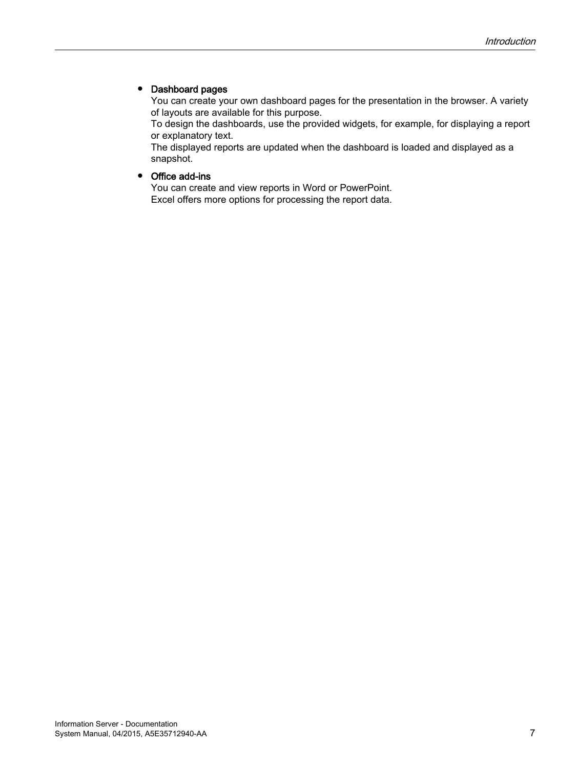#### ● Dashboard pages

You can create your own dashboard pages for the presentation in the browser. A variety of layouts are available for this purpose.

To design the dashboards, use the provided widgets, for example, for displaying a report or explanatory text.

The displayed reports are updated when the dashboard is loaded and displayed as a snapshot.

#### ● Office add-ins

You can create and view reports in Word or PowerPoint.

Excel offers more options for processing the report data.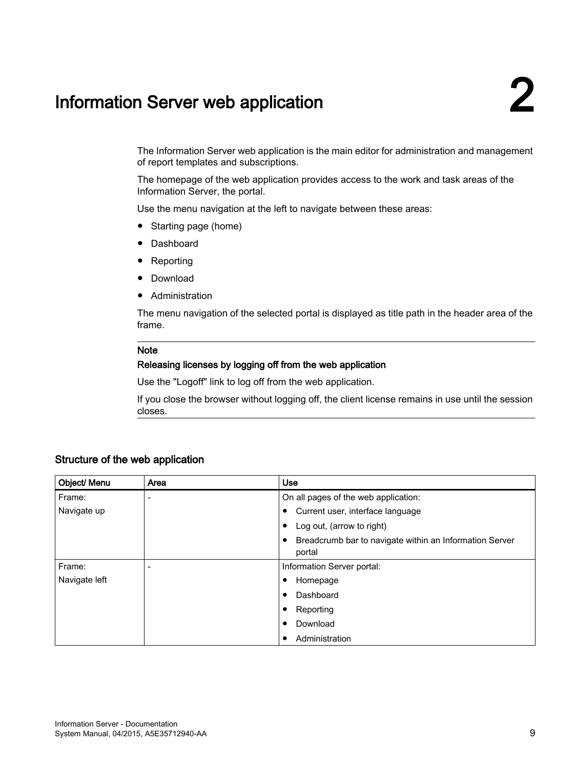## <span id="page-8-0"></span>Information Server web application **2**

The Information Server web application is the main editor for administration and management of report templates and subscriptions.

The homepage of the web application provides access to the work and task areas of the Information Server, the portal.

Use the menu navigation at the left to navigate between these areas:

- Starting page (home)
- Dashboard
- Reporting
- Download
- Administration

The menu navigation of the selected portal is displayed as title path in the header area of the frame.

#### **Note**

#### Releasing licenses by logging off from the web application

Use the "Logoff" link to log off from the web application.

If you close the browser without logging off, the client license remains in use until the session closes.

| Object/ Menu  | Area                     | <b>Use</b>                                                        |  |
|---------------|--------------------------|-------------------------------------------------------------------|--|
| Frame:        | ٠                        | On all pages of the web application:                              |  |
| Navigate up   |                          | Current user, interface language<br>$\bullet$                     |  |
|               |                          | Log out, (arrow to right)<br>$\bullet$                            |  |
|               |                          | Breadcrumb bar to navigate within an Information Server<br>portal |  |
| Frame:        | $\overline{\phantom{a}}$ | Information Server portal:                                        |  |
| Navigate left |                          | Homepage                                                          |  |
|               |                          | Dashboard                                                         |  |
|               |                          | Reporting<br>$\bullet$                                            |  |
|               |                          | Download                                                          |  |
|               |                          | Administration                                                    |  |

#### Structure of the web application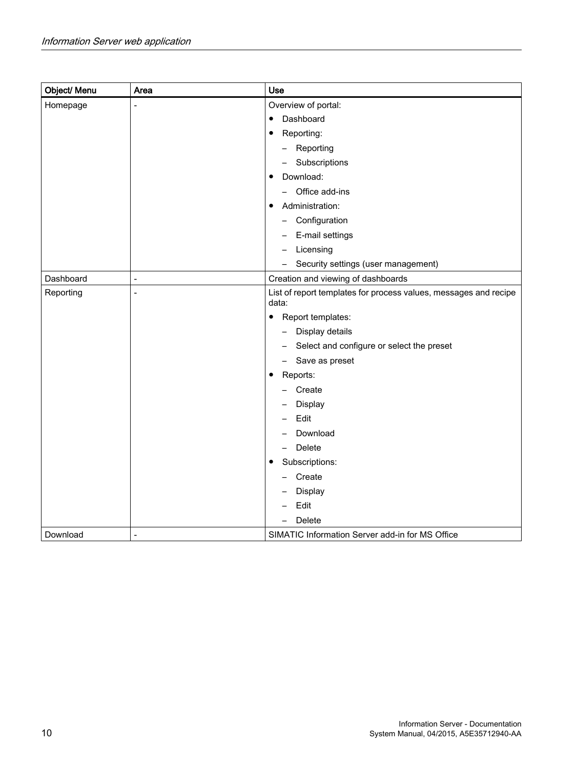| Object/ Menu | Area                     | Use                                                                       |  |
|--------------|--------------------------|---------------------------------------------------------------------------|--|
| Homepage     | L,                       | Overview of portal:                                                       |  |
|              |                          | Dashboard<br>$\bullet$                                                    |  |
|              |                          | Reporting:<br>$\bullet$                                                   |  |
|              |                          | Reporting                                                                 |  |
|              |                          | Subscriptions                                                             |  |
|              |                          | Download:                                                                 |  |
|              |                          | Office add-ins<br>$\overline{\phantom{m}}$                                |  |
|              |                          | Administration:<br>$\bullet$                                              |  |
|              |                          | Configuration<br>$\qquad \qquad -$                                        |  |
|              |                          | E-mail settings<br>$\qquad \qquad -$                                      |  |
|              |                          | Licensing<br>$\qquad \qquad -$                                            |  |
|              |                          | Security settings (user management)<br>$\overline{\phantom{0}}$           |  |
| Dashboard    | $\blacksquare$           | Creation and viewing of dashboards                                        |  |
| Reporting    | $\overline{\phantom{a}}$ | List of report templates for process values, messages and recipe<br>data: |  |
|              |                          | Report templates:<br>٠                                                    |  |
|              |                          | Display details                                                           |  |
|              |                          | Select and configure or select the preset                                 |  |
|              |                          | Save as preset<br>$\overline{\phantom{m}}$                                |  |
|              |                          | Reports:<br>$\bullet$                                                     |  |
|              |                          | Create                                                                    |  |
|              |                          | Display                                                                   |  |
|              |                          | Edit                                                                      |  |
|              |                          | Download                                                                  |  |
|              |                          | Delete                                                                    |  |
|              |                          | Subscriptions:<br>٠                                                       |  |
|              |                          | Create                                                                    |  |
|              |                          | Display                                                                   |  |
|              |                          | Edit                                                                      |  |
|              |                          | Delete                                                                    |  |
| Download     | $\overline{\phantom{0}}$ | SIMATIC Information Server add-in for MS Office                           |  |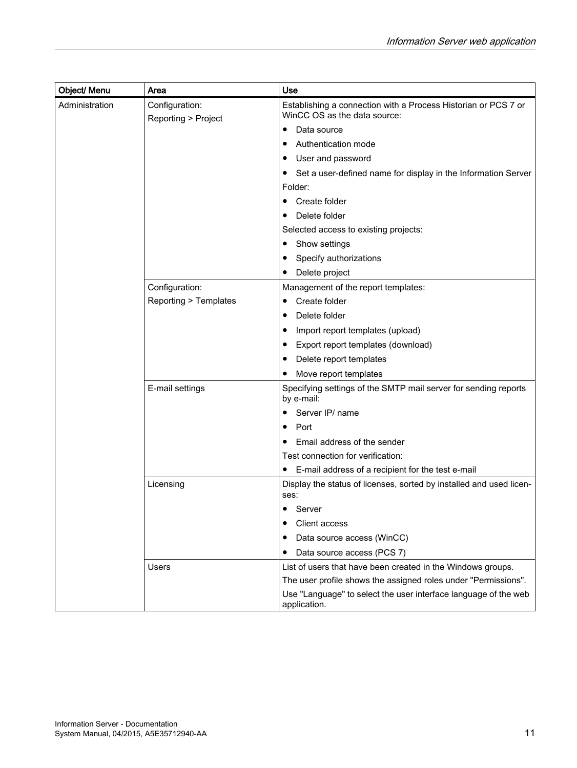| Object/ Menu   | Area                                  | Use                                                                                            |
|----------------|---------------------------------------|------------------------------------------------------------------------------------------------|
| Administration | Configuration:<br>Reporting > Project | Establishing a connection with a Process Historian or PCS 7 or<br>WinCC OS as the data source: |
|                |                                       | Data source                                                                                    |
|                |                                       | Authentication mode                                                                            |
|                |                                       | User and password                                                                              |
|                |                                       | Set a user-defined name for display in the Information Server                                  |
|                |                                       | Folder:                                                                                        |
|                |                                       | Create folder                                                                                  |
|                |                                       | Delete folder                                                                                  |
|                |                                       | Selected access to existing projects:                                                          |
|                |                                       | Show settings                                                                                  |
|                |                                       | Specify authorizations                                                                         |
|                |                                       | Delete project                                                                                 |
|                | Configuration:                        | Management of the report templates:                                                            |
|                | <b>Reporting &gt; Templates</b>       | Create folder                                                                                  |
|                |                                       | Delete folder                                                                                  |
|                |                                       | Import report templates (upload)                                                               |
|                |                                       | Export report templates (download)                                                             |
|                |                                       | Delete report templates                                                                        |
|                |                                       | Move report templates                                                                          |
|                | E-mail settings                       | Specifying settings of the SMTP mail server for sending reports<br>by e-mail:                  |
|                |                                       | Server IP/ name                                                                                |
|                |                                       | Port<br>$\bullet$                                                                              |
|                |                                       | Email address of the sender                                                                    |
|                |                                       | Test connection for verification:                                                              |
|                |                                       | • E-mail address of a recipient for the test e-mail                                            |
|                | Licensing                             | Display the status of licenses, sorted by installed and used licen-<br>ses:                    |
|                |                                       | Server                                                                                         |
|                |                                       | Client access                                                                                  |
|                |                                       | Data source access (WinCC)                                                                     |
|                |                                       | Data source access (PCS 7)                                                                     |
|                | <b>Users</b>                          | List of users that have been created in the Windows groups.                                    |
|                |                                       | The user profile shows the assigned roles under "Permissions".                                 |
|                |                                       | Use "Language" to select the user interface language of the web<br>application.                |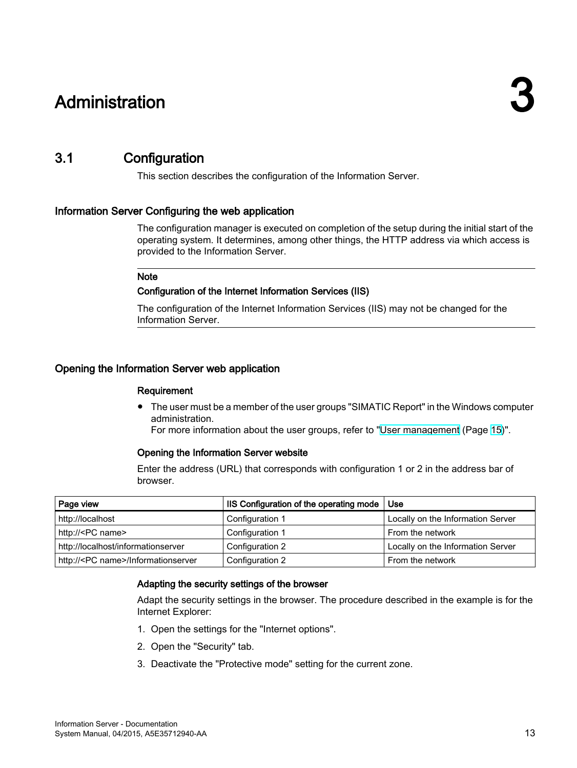# <span id="page-12-0"></span>Administration 3

## 3.1 Configuration

This section describes the configuration of the Information Server.

#### Information Server Configuring the web application

The configuration manager is executed on completion of the setup during the initial start of the operating system. It determines, among other things, the HTTP address via which access is provided to the Information Server.

#### **Note**

#### Configuration of the Internet Information Services (IIS)

The configuration of the Internet Information Services (IIS) may not be changed for the Information Server.

#### Opening the Information Server web application

#### Requirement

● The user must be a member of the user groups "SIMATIC Report" in the Windows computer administration.

For more information about the user groups, refer to ["User management](#page-14-0) (Page [15\)](#page-14-0)".

#### Opening the Information Server website

Enter the address (URL) that corresponds with configuration 1 or 2 in the address bar of browser.

| Page view                                   | $\overline{\phantom{a}}$ IIS Configuration of the operating mode $\overline{\phantom{a}}$ Use |                                   |
|---------------------------------------------|-----------------------------------------------------------------------------------------------|-----------------------------------|
| http://localhost                            | Configuration 1                                                                               | Locally on the Information Server |
| http:// <pc name=""></pc>                   | Configuration 1                                                                               | From the network                  |
| http://localhost/informationserver          | Configuration 2                                                                               | Locally on the Information Server |
| http:// <pc name="">/Informationserver</pc> | Configuration 2                                                                               | From the network                  |

#### Adapting the security settings of the browser

Adapt the security settings in the browser. The procedure described in the example is for the Internet Explorer:

- 1. Open the settings for the "Internet options".
- 2. Open the "Security" tab.
- 3. Deactivate the "Protective mode" setting for the current zone.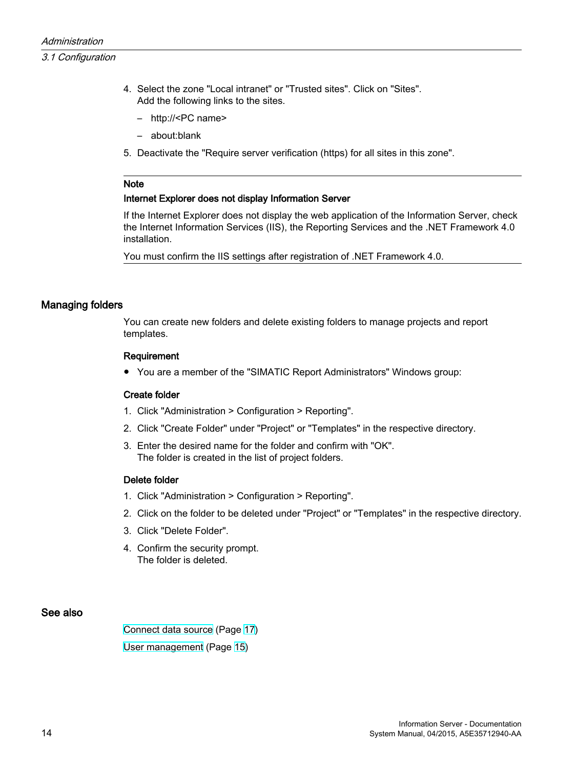3.1 Configuration

- 4. Select the zone "Local intranet" or "Trusted sites". Click on "Sites". Add the following links to the sites.
	- http://<PC name>
	- about:blank
- 5. Deactivate the "Require server verification (https) for all sites in this zone".

#### Note

#### Internet Explorer does not display Information Server

If the Internet Explorer does not display the web application of the Information Server, check the Internet Information Services (IIS), the Reporting Services and the .NET Framework 4.0 installation.

You must confirm the IIS settings after registration of .NET Framework 4.0.

#### Managing folders

You can create new folders and delete existing folders to manage projects and report templates.

#### Requirement

● You are a member of the "SIMATIC Report Administrators" Windows group:

#### Create folder

- 1. Click "Administration > Configuration > Reporting".
- 2. Click "Create Folder" under "Project" or "Templates" in the respective directory.
- 3. Enter the desired name for the folder and confirm with "OK". The folder is created in the list of project folders.

#### Delete folder

- 1. Click "Administration > Configuration > Reporting".
- 2. Click on the folder to be deleted under "Project" or "Templates" in the respective directory.
- 3. Click "Delete Folder".
- 4. Confirm the security prompt. The folder is deleted.

#### See also

[Connect data source](#page-16-0) (Page [17](#page-16-0)) [User management](#page-14-0) (Page [15](#page-14-0))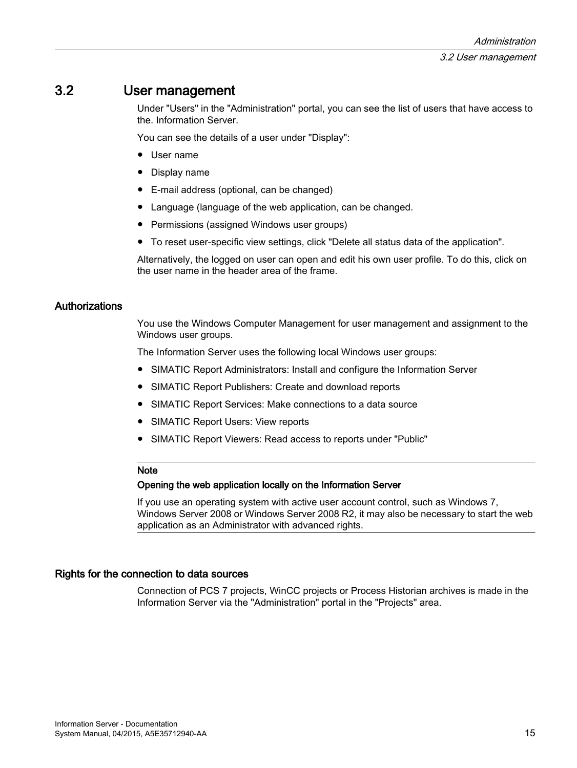## <span id="page-14-0"></span>3.2 User management

Under "Users" in the "Administration" portal, you can see the list of users that have access to the. Information Server.

You can see the details of a user under "Display":

- User name
- Display name
- E-mail address (optional, can be changed)
- Language (language of the web application, can be changed.
- Permissions (assigned Windows user groups)
- To reset user-specific view settings, click "Delete all status data of the application".

Alternatively, the logged on user can open and edit his own user profile. To do this, click on the user name in the header area of the frame.

#### Authorizations

You use the Windows Computer Management for user management and assignment to the Windows user groups.

The Information Server uses the following local Windows user groups:

- SIMATIC Report Administrators: Install and configure the Information Server
- SIMATIC Report Publishers: Create and download reports
- SIMATIC Report Services: Make connections to a data source
- SIMATIC Report Users: View reports
- SIMATIC Report Viewers: Read access to reports under "Public"

#### **Note**

#### Opening the web application locally on the Information Server

If you use an operating system with active user account control, such as Windows 7, Windows Server 2008 or Windows Server 2008 R2, it may also be necessary to start the web application as an Administrator with advanced rights.

#### Rights for the connection to data sources

Connection of PCS 7 projects, WinCC projects or Process Historian archives is made in the Information Server via the "Administration" portal in the "Projects" area.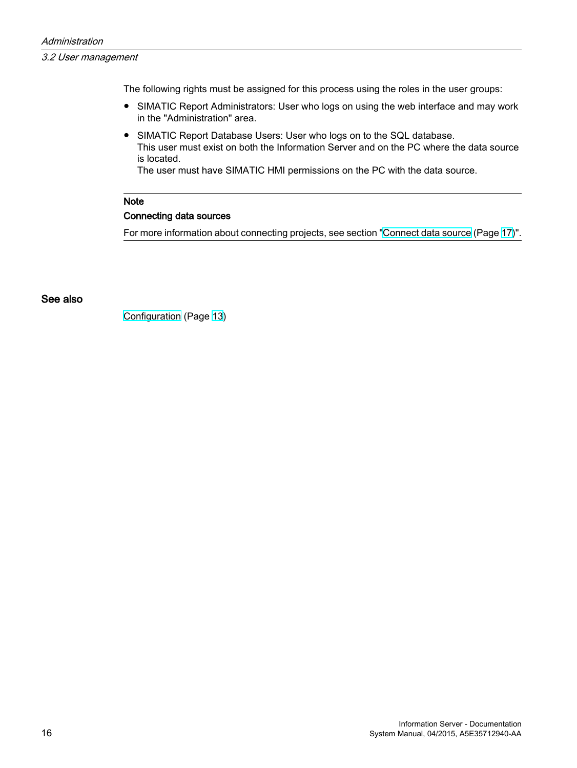#### 3.2 User management

The following rights must be assigned for this process using the roles in the user groups:

- SIMATIC Report Administrators: User who logs on using the web interface and may work in the "Administration" area.
- SIMATIC Report Database Users: User who logs on to the SQL database. This user must exist on both the Information Server and on the PC where the data source is located.

The user must have SIMATIC HMI permissions on the PC with the data source.

#### Note

#### Connecting data sources

For more information about connecting projects, see section ["Connect data source](#page-16-0) (Page [17\)](#page-16-0)".

#### See also

[Configuration](#page-12-0) (Page [13](#page-12-0))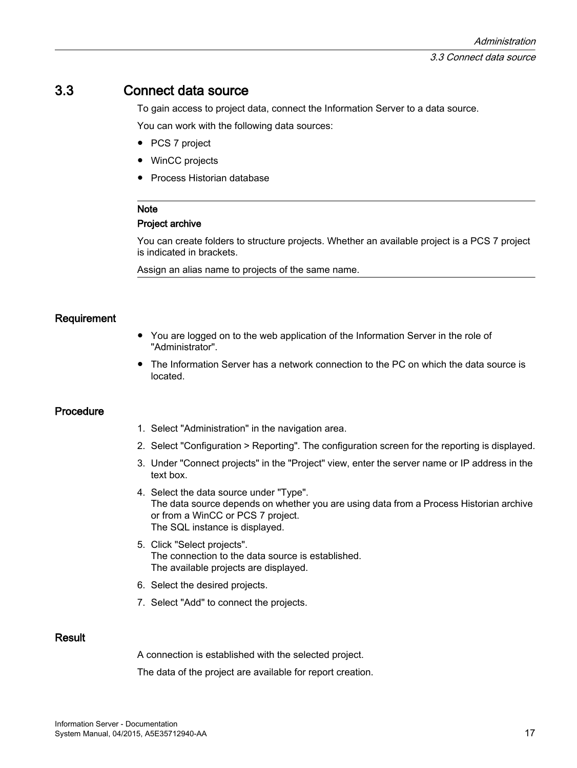## <span id="page-16-0"></span>3.3 Connect data source

To gain access to project data, connect the Information Server to a data source.

You can work with the following data sources:

- PCS 7 project
- WinCC projects
- Process Historian database

### **Note**

#### Project archive

You can create folders to structure projects. Whether an available project is a PCS 7 project is indicated in brackets.

Assign an alias name to projects of the same name.

#### Requirement

- You are logged on to the web application of the Information Server in the role of "Administrator".
- The Information Server has a network connection to the PC on which the data source is located.

#### Procedure

- 1. Select "Administration" in the navigation area.
- 2. Select "Configuration > Reporting". The configuration screen for the reporting is displayed.
- 3. Under "Connect projects" in the "Project" view, enter the server name or IP address in the text box.
- 4. Select the data source under "Type". The data source depends on whether you are using data from a Process Historian archive or from a WinCC or PCS 7 project. The SQL instance is displayed.
- 5. Click "Select projects". The connection to the data source is established. The available projects are displayed.
- 6. Select the desired projects.
- 7. Select "Add" to connect the projects.

#### Result

A connection is established with the selected project.

The data of the project are available for report creation.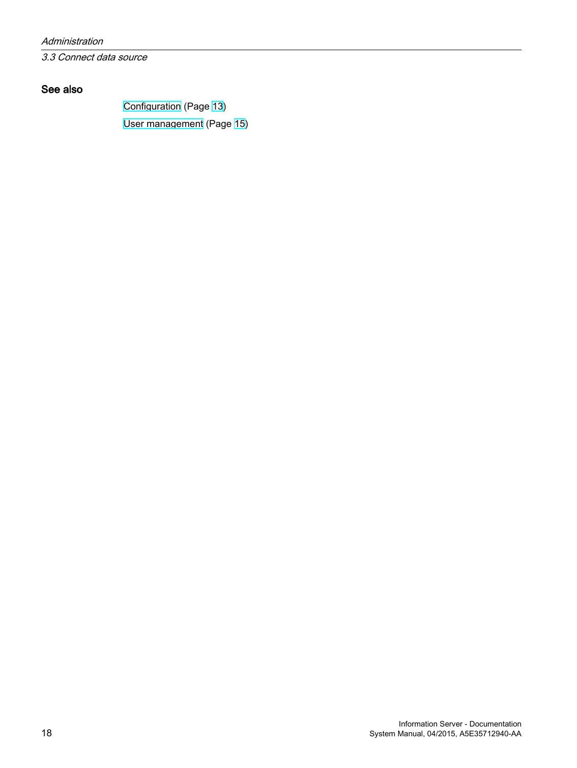Administration

3.3 Connect data source

#### See also

[Configuration](#page-12-0) (Page [13](#page-12-0)) [User management](#page-14-0) (Page [15](#page-14-0))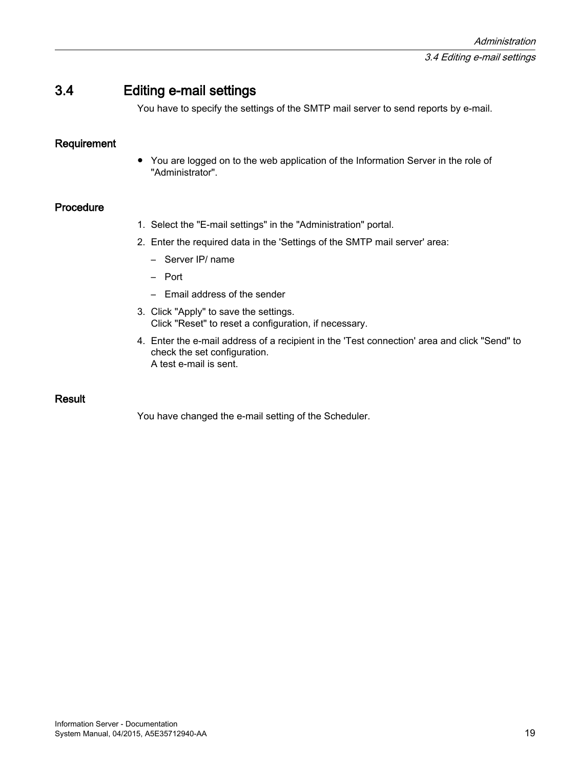## <span id="page-18-0"></span>3.4 Editing e-mail settings

You have to specify the settings of the SMTP mail server to send reports by e-mail.

#### Requirement

● You are logged on to the web application of the Information Server in the role of "Administrator".

#### Procedure

- 1. Select the "E-mail settings" in the "Administration" portal.
- 2. Enter the required data in the 'Settings of the SMTP mail server' area:
	- Server IP/ name
	- Port
	- Email address of the sender
- 3. Click "Apply" to save the settings. Click "Reset" to reset a configuration, if necessary.
- 4. Enter the e-mail address of a recipient in the 'Test connection' area and click "Send" to check the set configuration. A test e-mail is sent.

#### Result

You have changed the e-mail setting of the Scheduler.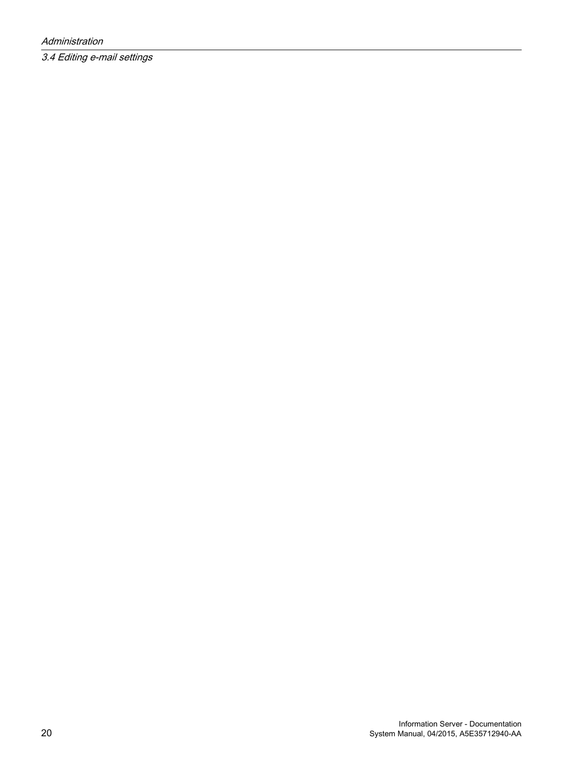Administration

3.4 Editing e-mail settings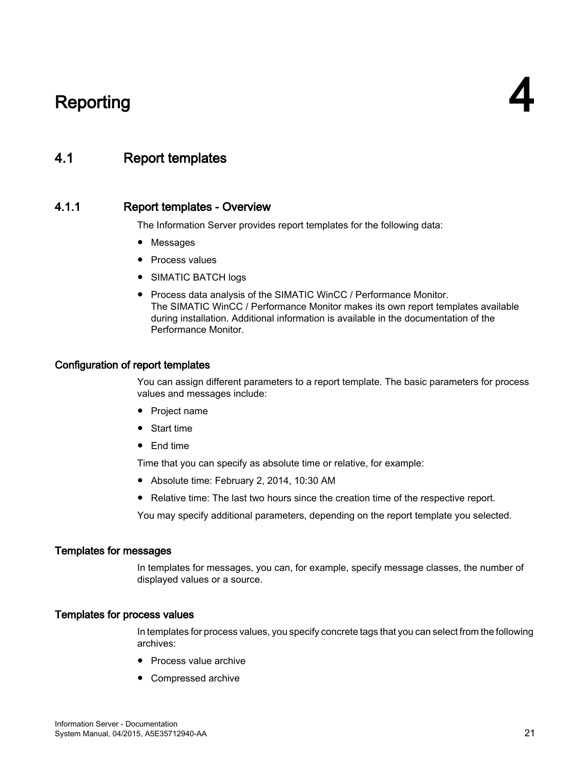# <span id="page-20-0"></span>Reporting  $\sim$  4

## 4.1 Report templates

#### 4.1.1 Report templates - Overview

The Information Server provides report templates for the following data:

- Messages
- Process values
- SIMATIC BATCH logs
- Process data analysis of the SIMATIC WinCC / Performance Monitor. The SIMATIC WinCC / Performance Monitor makes its own report templates available during installation. Additional information is available in the documentation of the Performance Monitor.

#### Configuration of report templates

You can assign different parameters to a report template. The basic parameters for process values and messages include:

- Project name
- Start time
- End time

Time that you can specify as absolute time or relative, for example:

- Absolute time: February 2, 2014, 10:30 AM
- Relative time: The last two hours since the creation time of the respective report.

You may specify additional parameters, depending on the report template you selected.

#### Templates for messages

In templates for messages, you can, for example, specify message classes, the number of displayed values or a source.

#### Templates for process values

In templates for process values, you specify concrete tags that you can select from the following archives:

- Process value archive
- Compressed archive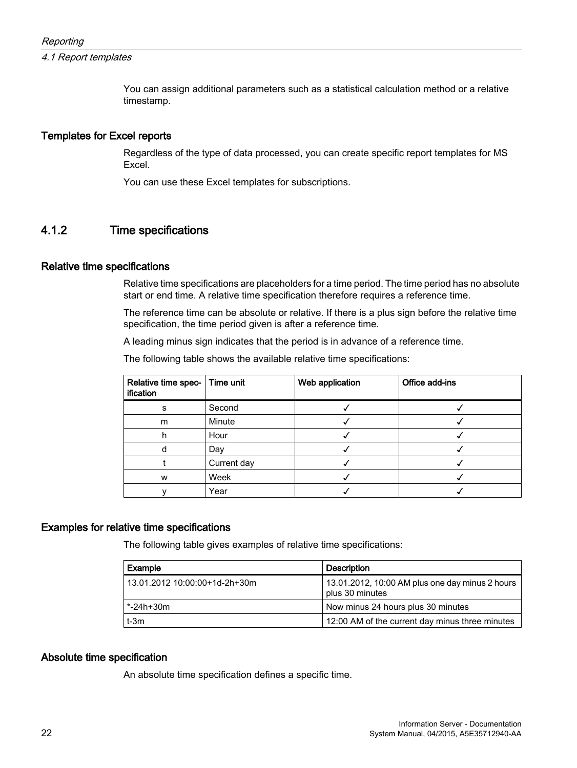You can assign additional parameters such as a statistical calculation method or a relative timestamp.

#### <span id="page-21-0"></span>Templates for Excel reports

Regardless of the type of data processed, you can create specific report templates for MS Excel.

You can use these Excel templates for subscriptions.

#### 4.1.2 Time specifications

#### Relative time specifications

Relative time specifications are placeholders for a time period. The time period has no absolute start or end time. A relative time specification therefore requires a reference time.

The reference time can be absolute or relative. If there is a plus sign before the relative time specification, the time period given is after a reference time.

A leading minus sign indicates that the period is in advance of a reference time.

The following table shows the available relative time specifications:

| Relative time spec-<br>ification | Time unit   | Web application | Office add-ins |
|----------------------------------|-------------|-----------------|----------------|
| s                                | Second      |                 |                |
| m                                | Minute      |                 |                |
| n                                | Hour        |                 |                |
|                                  | Day         |                 |                |
|                                  | Current day |                 |                |
| W                                | Week        |                 |                |
|                                  | Year        |                 |                |

#### Examples for relative time specifications

The following table gives examples of relative time specifications:

| Example                       | Description                                                        |
|-------------------------------|--------------------------------------------------------------------|
| 13.01.2012 10:00:00+1d-2h+30m | 13.01.2012, 10:00 AM plus one day minus 2 hours<br>plus 30 minutes |
| *-24h+30m                     | Now minus 24 hours plus 30 minutes                                 |
| t-3m                          | 12:00 AM of the current day minus three minutes                    |

#### Absolute time specification

An absolute time specification defines a specific time.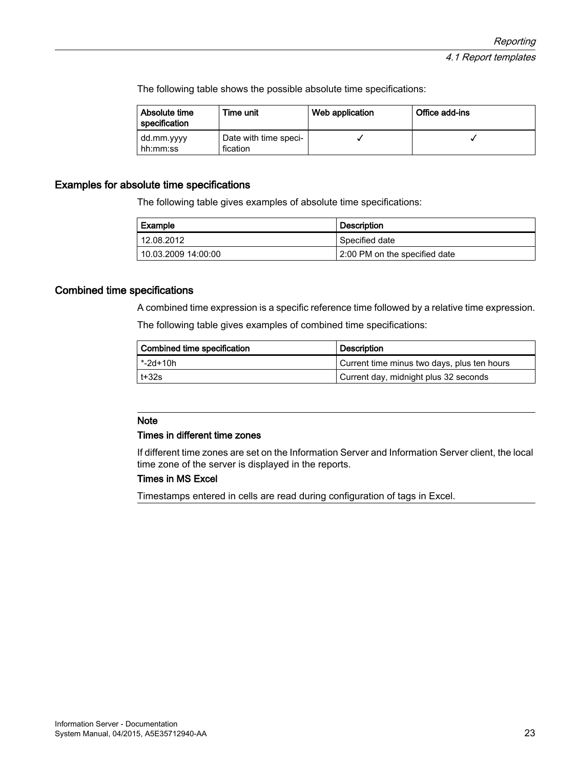The following table shows the possible absolute time specifications:

| Absolute time<br>specification | Time unit                         | Web application | Office add-ins |
|--------------------------------|-----------------------------------|-----------------|----------------|
| ⊧dd.mm.yyyy<br>hh:mm:ss        | Date with time speci-<br>fication |                 |                |

#### Examples for absolute time specifications

The following table gives examples of absolute time specifications:

| Example             | Description                   |
|---------------------|-------------------------------|
| 12.08.2012          | Specified date                |
| 10.03.2009 14:00:00 | 2:00 PM on the specified date |

#### Combined time specifications

A combined time expression is a specific reference time followed by a relative time expression.

The following table gives examples of combined time specifications:

| Combined time specification | <b>Description</b>                          |
|-----------------------------|---------------------------------------------|
| l *-2d+10h                  | Current time minus two days, plus ten hours |
| l t+32s                     | Current day, midnight plus 32 seconds       |

#### **Note**

#### Times in different time zones

If different time zones are set on the Information Server and Information Server client, the local time zone of the server is displayed in the reports.

#### Times in MS Excel

Timestamps entered in cells are read during configuration of tags in Excel.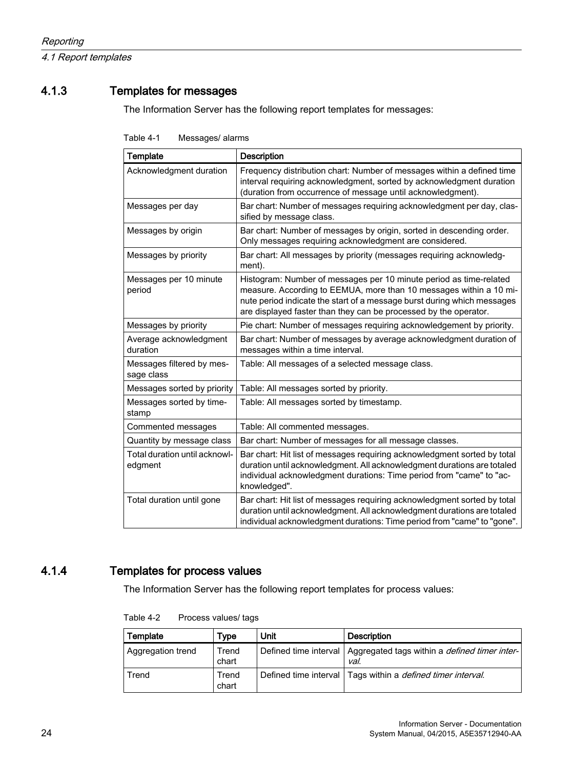#### <span id="page-23-0"></span>4.1.3 Templates for messages

The Information Server has the following report templates for messages:

| Template                                 | <b>Description</b>                                                                                                                                                                                                                                                                      |
|------------------------------------------|-----------------------------------------------------------------------------------------------------------------------------------------------------------------------------------------------------------------------------------------------------------------------------------------|
| Acknowledgment duration                  | Frequency distribution chart: Number of messages within a defined time<br>interval requiring acknowledgment, sorted by acknowledgment duration<br>(duration from occurrence of message until acknowledgment).                                                                           |
| Messages per day                         | Bar chart: Number of messages requiring acknowledgment per day, clas-<br>sified by message class.                                                                                                                                                                                       |
| Messages by origin                       | Bar chart: Number of messages by origin, sorted in descending order.<br>Only messages requiring acknowledgment are considered.                                                                                                                                                          |
| Messages by priority                     | Bar chart: All messages by priority (messages requiring acknowledg-<br>ment).                                                                                                                                                                                                           |
| Messages per 10 minute<br>period         | Histogram: Number of messages per 10 minute period as time-related<br>measure. According to EEMUA, more than 10 messages within a 10 mi-<br>nute period indicate the start of a message burst during which messages<br>are displayed faster than they can be processed by the operator. |
| Messages by priority                     | Pie chart: Number of messages requiring acknowledgement by priority.                                                                                                                                                                                                                    |
| Average acknowledgment<br>duration       | Bar chart: Number of messages by average acknowledgment duration of<br>messages within a time interval.                                                                                                                                                                                 |
| Messages filtered by mes-<br>sage class  | Table: All messages of a selected message class.                                                                                                                                                                                                                                        |
| Messages sorted by priority              | Table: All messages sorted by priority.                                                                                                                                                                                                                                                 |
| Messages sorted by time-<br>stamp        | Table: All messages sorted by timestamp.                                                                                                                                                                                                                                                |
| Commented messages                       | Table: All commented messages.                                                                                                                                                                                                                                                          |
| Quantity by message class                | Bar chart: Number of messages for all message classes.                                                                                                                                                                                                                                  |
| Total duration until acknowl-<br>edgment | Bar chart: Hit list of messages requiring acknowledgment sorted by total<br>duration until acknowledgment. All acknowledgment durations are totaled<br>individual acknowledgment durations: Time period from "came" to "ac-<br>knowledged".                                             |
| Total duration until gone                | Bar chart: Hit list of messages requiring acknowledgment sorted by total<br>duration until acknowledgment. All acknowledgment durations are totaled<br>individual acknowledgment durations: Time period from "came" to "gone".                                                          |

| Table 4-1 | Messages/ alarms |  |
|-----------|------------------|--|
|-----------|------------------|--|

#### 4.1.4 Templates for process values

The Information Server has the following report templates for process values:

| Template          | Type           | Unit | <b>Description</b>                                                                   |
|-------------------|----------------|------|--------------------------------------------------------------------------------------|
| Aggregation trend | Trend<br>chart |      | Defined time interval   Aggregated tags within a <i>defined timer inter-</i><br>val. |
| Trend             | Trend          |      | Defined time interval   Tags within a <i>defined timer interval</i> .                |

Table 4-2 Process values/ tags

chart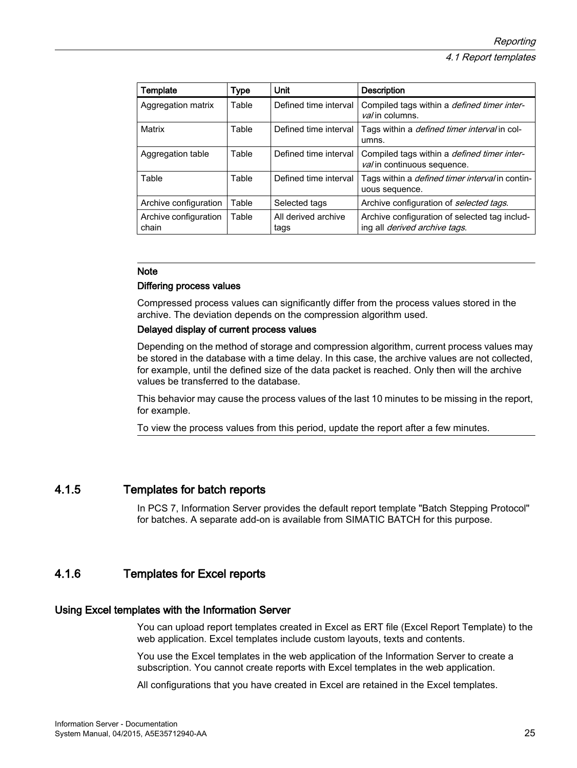<span id="page-24-0"></span>

| Template                       | Type  | Unit                        | <b>Description</b>                                                                     |
|--------------------------------|-------|-----------------------------|----------------------------------------------------------------------------------------|
| Aggregation matrix             | Table | Defined time interval       | Compiled tags within a <i>defined timer inter-</i><br>val in columns.                  |
| Matrix                         | Table | Defined time interval       | Tags within a <i>defined timer interval</i> in col-<br>umns.                           |
| Aggregation table              | Table | Defined time interval       | Compiled tags within a <i>defined timer inter-</i><br>val in continuous sequence.      |
| Table                          | Table | Defined time interval       | Tags within a <i>defined timer interval</i> in contin-<br>uous sequence.               |
| Archive configuration          | Table | Selected tags               | Archive configuration of <i>selected tags</i> .                                        |
| Archive configuration<br>chain | Table | All derived archive<br>tags | Archive configuration of selected tag includ-<br>ing all <i>derived archive tags</i> . |

#### **Note**

#### Differing process values

Compressed process values can significantly differ from the process values stored in the archive. The deviation depends on the compression algorithm used.

#### Delayed display of current process values

Depending on the method of storage and compression algorithm, current process values may be stored in the database with a time delay. In this case, the archive values are not collected, for example, until the defined size of the data packet is reached. Only then will the archive values be transferred to the database.

This behavior may cause the process values of the last 10 minutes to be missing in the report, for example.

To view the process values from this period, update the report after a few minutes.

#### 4.1.5 Templates for batch reports

In PCS 7, Information Server provides the default report template "Batch Stepping Protocol" for batches. A separate add-on is available from SIMATIC BATCH for this purpose.

#### 4.1.6 Templates for Excel reports

#### Using Excel templates with the Information Server

You can upload report templates created in Excel as ERT file (Excel Report Template) to the web application. Excel templates include custom layouts, texts and contents.

You use the Excel templates in the web application of the Information Server to create a subscription. You cannot create reports with Excel templates in the web application.

All configurations that you have created in Excel are retained in the Excel templates.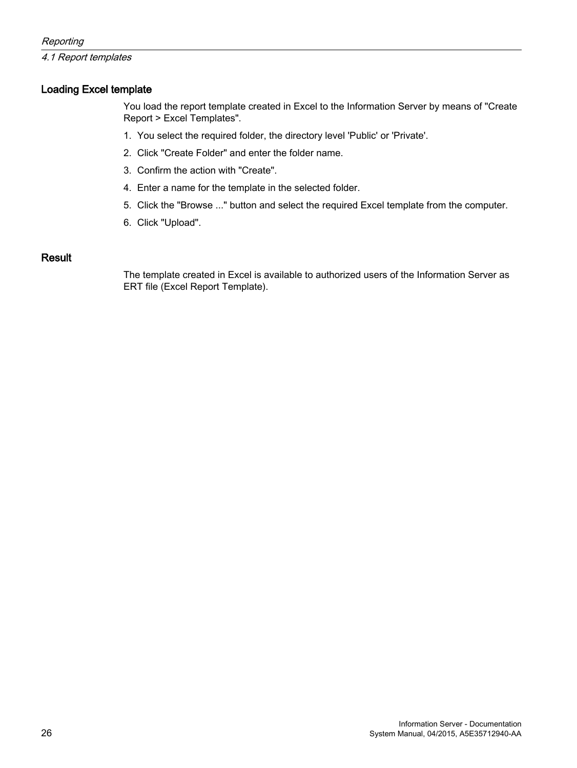#### Loading Excel template

You load the report template created in Excel to the Information Server by means of "Create Report > Excel Templates".

- 1. You select the required folder, the directory level 'Public' or 'Private'.
- 2. Click "Create Folder" and enter the folder name.
- 3. Confirm the action with "Create".
- 4. Enter a name for the template in the selected folder.
- 5. Click the "Browse ..." button and select the required Excel template from the computer.
- 6. Click "Upload".

#### Result

The template created in Excel is available to authorized users of the Information Server as ERT file (Excel Report Template).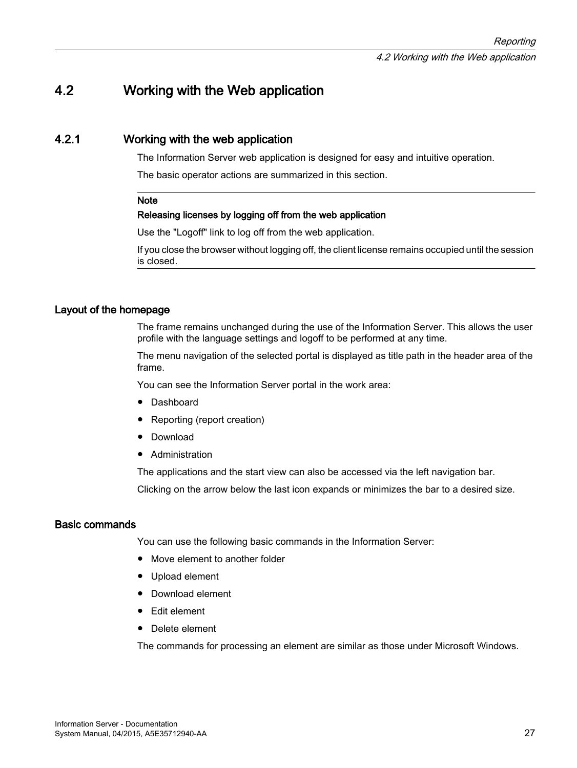## <span id="page-26-0"></span>4.2 Working with the Web application

#### 4.2.1 Working with the web application

The Information Server web application is designed for easy and intuitive operation. The basic operator actions are summarized in this section.

#### **Note**

#### Releasing licenses by logging off from the web application

Use the "Logoff" link to log off from the web application.

If you close the browser without logging off, the client license remains occupied until the session is closed.

#### Layout of the homepage

The frame remains unchanged during the use of the Information Server. This allows the user profile with the language settings and logoff to be performed at any time.

The menu navigation of the selected portal is displayed as title path in the header area of the frame.

You can see the Information Server portal in the work area:

- Dashboard
- Reporting (report creation)
- Download
- Administration

The applications and the start view can also be accessed via the left navigation bar.

Clicking on the arrow below the last icon expands or minimizes the bar to a desired size.

#### Basic commands

You can use the following basic commands in the Information Server:

- Move element to another folder
- Upload element
- Download element
- Edit element
- Delete element

The commands for processing an element are similar as those under Microsoft Windows.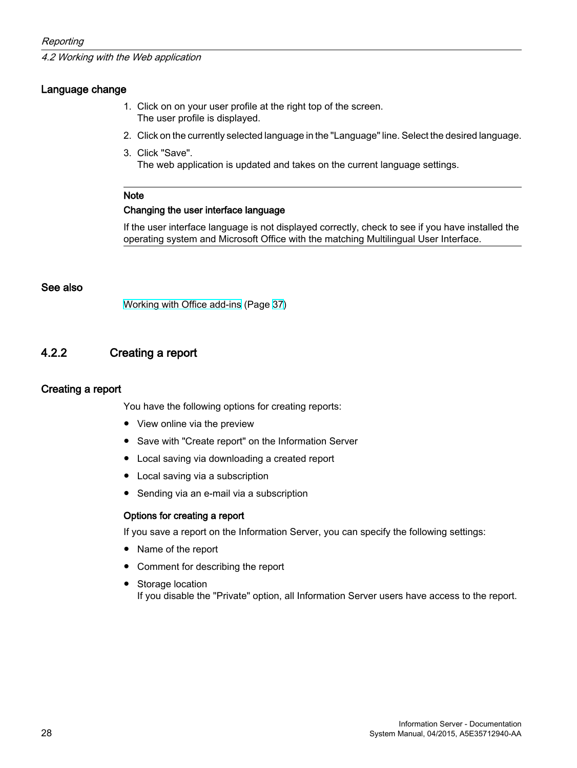<span id="page-27-0"></span>4.2 Working with the Web application

#### Language change

- 1. Click on on your user profile at the right top of the screen. The user profile is displayed.
- 2. Click on the currently selected language in the "Language" line. Select the desired language.
- 3. Click "Save". The web application is updated and takes on the current language settings.

#### Note

#### Changing the user interface language

If the user interface language is not displayed correctly, check to see if you have installed the operating system and Microsoft Office with the matching Multilingual User Interface.

#### See also

[Working with Office add-ins](#page-36-0) (Page [37\)](#page-36-0)

#### 4.2.2 Creating a report

#### Creating a report

You have the following options for creating reports:

- View online via the preview
- Save with "Create report" on the Information Server
- Local saving via downloading a created report
- Local saving via a subscription
- Sending via an e-mail via a subscription

#### Options for creating a report

If you save a report on the Information Server, you can specify the following settings:

- Name of the report
- Comment for describing the report
- Storage location If you disable the "Private" option, all Information Server users have access to the report.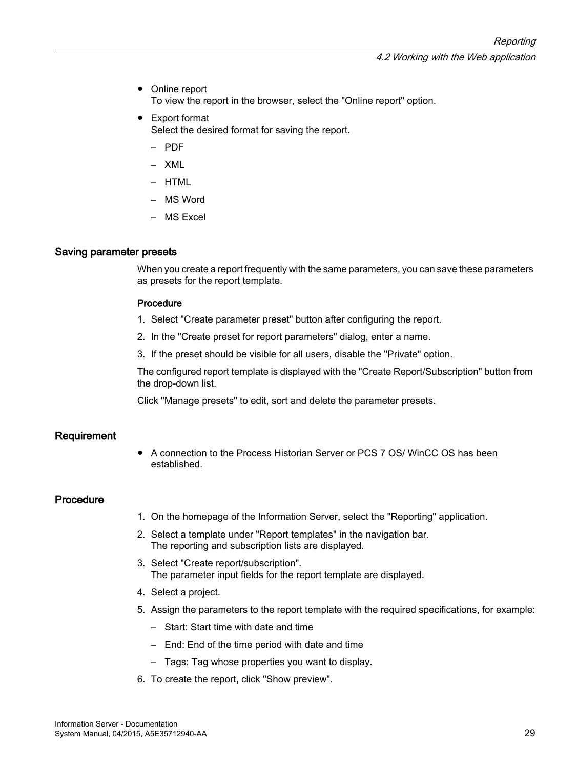#### ● Online report To view the report in the browser, select the "Online report" option.

- Export format Select the desired format for saving the report.
	- PDF
	- XML
	- HTML
	- MS Word
	- MS Excel

#### Saving parameter presets

When you create a report frequently with the same parameters, you can save these parameters as presets for the report template.

#### Procedure

- 1. Select "Create parameter preset" button after configuring the report.
- 2. In the "Create preset for report parameters" dialog, enter a name.
- 3. If the preset should be visible for all users, disable the "Private" option.

The configured report template is displayed with the "Create Report/Subscription" button from the drop-down list.

Click "Manage presets" to edit, sort and delete the parameter presets.

#### Requirement

● A connection to the Process Historian Server or PCS 7 OS/ WinCC OS has been established.

- 1. On the homepage of the Information Server, select the "Reporting" application.
- 2. Select a template under "Report templates" in the navigation bar. The reporting and subscription lists are displayed.
- 3. Select "Create report/subscription". The parameter input fields for the report template are displayed.
- 4. Select a project.
- 5. Assign the parameters to the report template with the required specifications, for example:
	- Start: Start time with date and time
	- End: End of the time period with date and time
	- Tags: Tag whose properties you want to display.
- 6. To create the report, click "Show preview".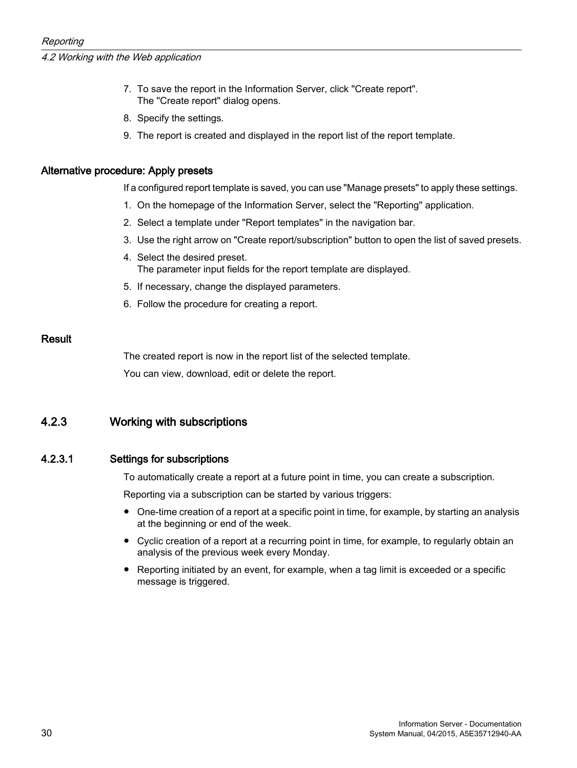<span id="page-29-0"></span>4.2 Working with the Web application

- 7. To save the report in the Information Server, click "Create report". The "Create report" dialog opens.
- 8. Specify the settings.
- 9. The report is created and displayed in the report list of the report template.

#### Alternative procedure: Apply presets

If a configured report template is saved, you can use "Manage presets" to apply these settings.

- 1. On the homepage of the Information Server, select the "Reporting" application.
- 2. Select a template under "Report templates" in the navigation bar.
- 3. Use the right arrow on "Create report/subscription" button to open the list of saved presets.
- 4. Select the desired preset. The parameter input fields for the report template are displayed.
- 5. If necessary, change the displayed parameters.
- 6. Follow the procedure for creating a report.

#### Result

The created report is now in the report list of the selected template.

You can view, download, edit or delete the report.

#### 4.2.3 Working with subscriptions

#### 4.2.3.1 Settings for subscriptions

To automatically create a report at a future point in time, you can create a subscription.

Reporting via a subscription can be started by various triggers:

- One-time creation of a report at a specific point in time, for example, by starting an analysis at the beginning or end of the week.
- Cyclic creation of a report at a recurring point in time, for example, to regularly obtain an analysis of the previous week every Monday.
- Reporting initiated by an event, for example, when a tag limit is exceeded or a specific message is triggered.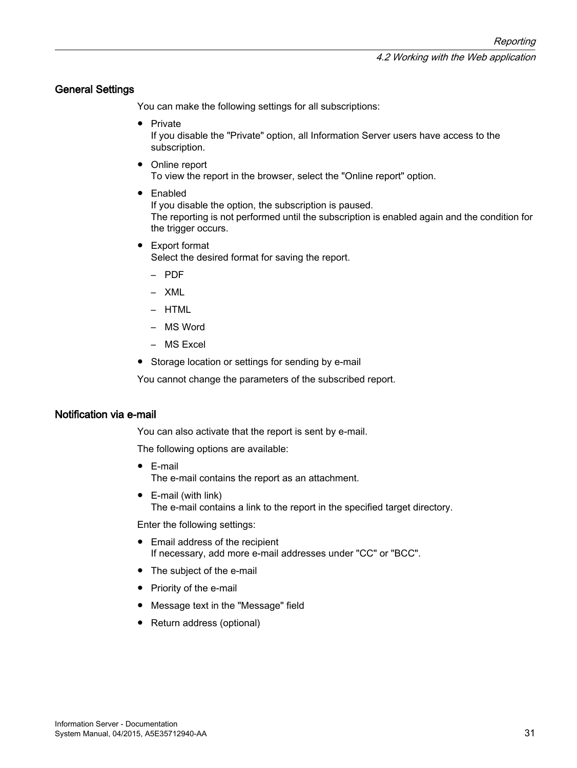#### General Settings

You can make the following settings for all subscriptions:

● Private

If you disable the "Private" option, all Information Server users have access to the subscription.

- Online report To view the report in the browser, select the "Online report" option.
- Enabled

If you disable the option, the subscription is paused. The reporting is not performed until the subscription is enabled again and the condition for the trigger occurs.

● Export format

Select the desired format for saving the report.

- PDF
- XML
- HTML
- MS Word
- MS Excel
- Storage location or settings for sending by e-mail

You cannot change the parameters of the subscribed report.

#### Notification via e-mail

You can also activate that the report is sent by e-mail.

The following options are available:

- E-mail The e-mail contains the report as an attachment.
- E-mail (with link) The e-mail contains a link to the report in the specified target directory.

Enter the following settings:

- Email address of the recipient If necessary, add more e-mail addresses under "CC" or "BCC".
- The subject of the e-mail
- Priority of the e-mail
- Message text in the "Message" field
- Return address (optional)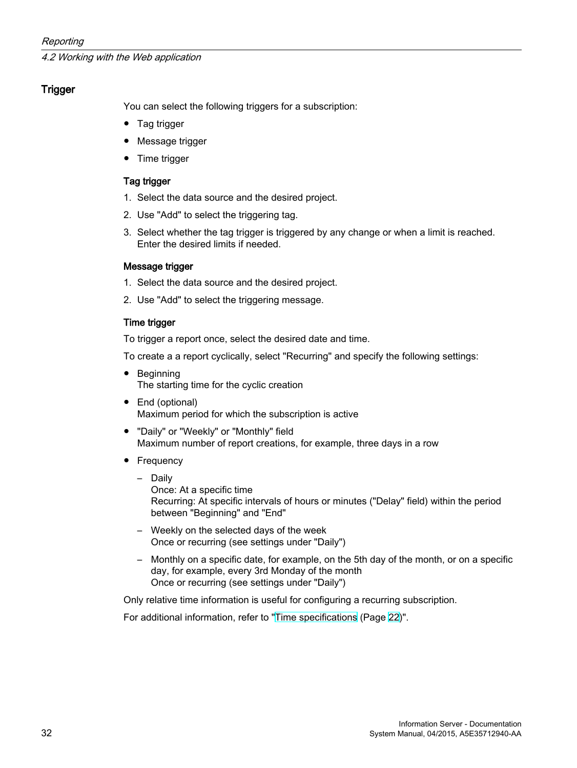4.2 Working with the Web application

#### **Trigger**

You can select the following triggers for a subscription:

- Tag trigger
- Message trigger
- Time trigger

#### Tag trigger

- 1. Select the data source and the desired project.
- 2. Use "Add" to select the triggering tag.
- 3. Select whether the tag trigger is triggered by any change or when a limit is reached. Enter the desired limits if needed.

#### Message trigger

- 1. Select the data source and the desired project.
- 2. Use "Add" to select the triggering message.

#### Time trigger

To trigger a report once, select the desired date and time.

To create a a report cyclically, select "Recurring" and specify the following settings:

- Beginning The starting time for the cyclic creation
- End (optional) Maximum period for which the subscription is active
- "Daily" or "Weekly" or "Monthly" field Maximum number of report creations, for example, three days in a row
- Frequency
	- Daily Once: At a specific time Recurring: At specific intervals of hours or minutes ("Delay" field) within the period between "Beginning" and "End"
	- Weekly on the selected days of the week Once or recurring (see settings under "Daily")
	- Monthly on a specific date, for example, on the 5th day of the month, or on a specific day, for example, every 3rd Monday of the month Once or recurring (see settings under "Daily")

Only relative time information is useful for configuring a recurring subscription.

For additional information, refer to "[Time specifications](#page-21-0) (Page [22](#page-21-0))".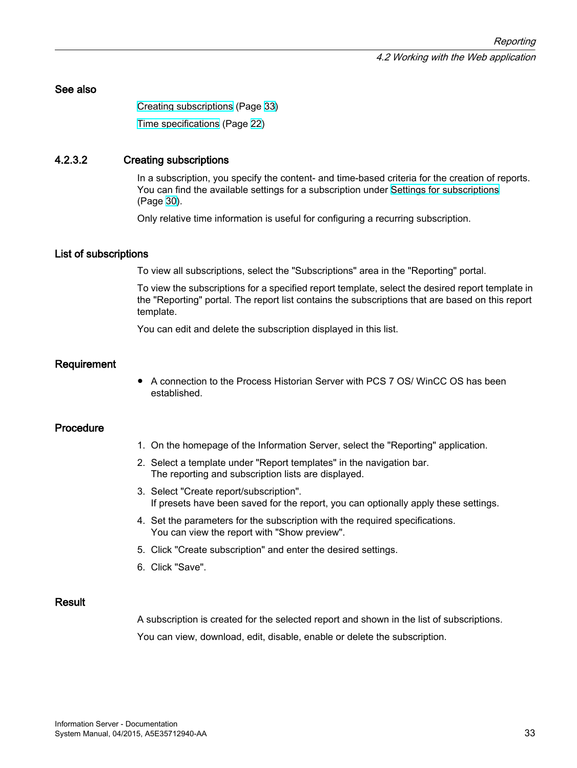4.2 Working with the Web application

#### <span id="page-32-0"></span>See also

Creating subscriptions (Page 33)

[Time specifications](#page-21-0) (Page [22](#page-21-0))

#### 4.2.3.2 Creating subscriptions

In a subscription, you specify the content- and time-based criteria for the creation of reports. You can find the available settings for a subscription under [Settings for subscriptions](#page-29-0) (Page [30](#page-29-0)).

Only relative time information is useful for configuring a recurring subscription.

#### List of subscriptions

To view all subscriptions, select the "Subscriptions" area in the "Reporting" portal.

To view the subscriptions for a specified report template, select the desired report template in the "Reporting" portal. The report list contains the subscriptions that are based on this report template.

You can edit and delete the subscription displayed in this list.

#### Requirement

● A connection to the Process Historian Server with PCS 7 OS/ WinCC OS has been established.

#### Procedure

- 1. On the homepage of the Information Server, select the "Reporting" application.
- 2. Select a template under "Report templates" in the navigation bar. The reporting and subscription lists are displayed.
- 3. Select "Create report/subscription". If presets have been saved for the report, you can optionally apply these settings.
- 4. Set the parameters for the subscription with the required specifications. You can view the report with "Show preview".
- 5. Click "Create subscription" and enter the desired settings.
- 6. Click "Save".

#### Result

A subscription is created for the selected report and shown in the list of subscriptions.

You can view, download, edit, disable, enable or delete the subscription.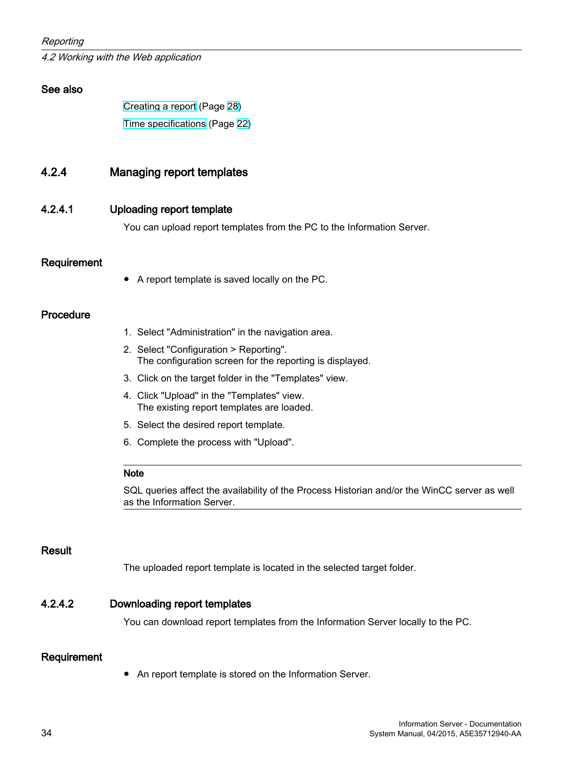<span id="page-33-0"></span>4.2 Working with the Web application

#### See also

[Creating a report](#page-27-0) (Page [28\)](#page-27-0) [Time specifications](#page-21-0) (Page [22\)](#page-21-0)

#### 4.2.4 Managing report templates

#### 4.2.4.1 Uploading report template

You can upload report templates from the PC to the Information Server.

#### Requirement

● A report template is saved locally on the PC.

#### Procedure

- 1. Select "Administration" in the navigation area.
- 2. Select "Configuration > Reporting". The configuration screen for the reporting is displayed.
- 3. Click on the target folder in the "Templates" view.
- 4. Click "Upload" in the "Templates" view. The existing report templates are loaded.
- 5. Select the desired report template.
- 6. Complete the process with "Upload".

#### Note

SQL queries affect the availability of the Process Historian and/or the WinCC server as well as the Information Server.

#### Result

The uploaded report template is located in the selected target folder.

#### 4.2.4.2 Downloading report templates

You can download report templates from the Information Server locally to the PC.

#### Requirement

● An report template is stored on the Information Server.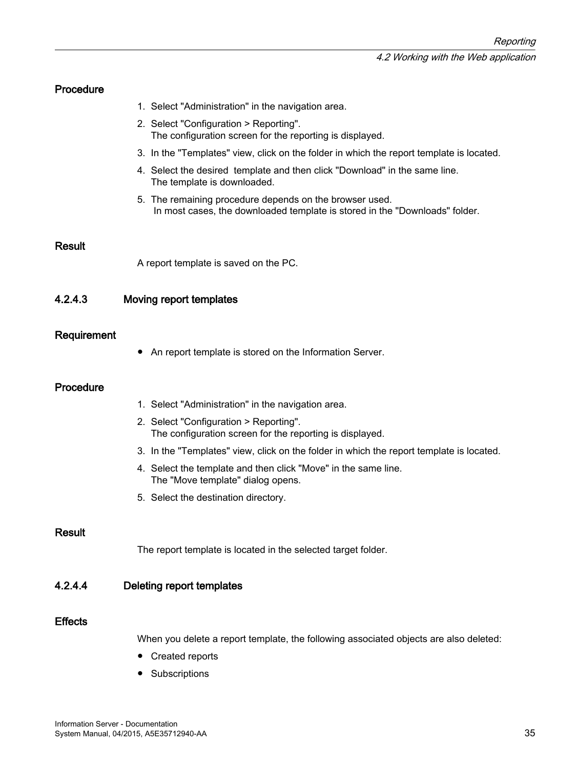4.2 Working with the Web application

<span id="page-34-0"></span>

| Procedure      |                                                                                                                                        |
|----------------|----------------------------------------------------------------------------------------------------------------------------------------|
|                | 1. Select "Administration" in the navigation area.                                                                                     |
|                | 2. Select "Configuration > Reporting".<br>The configuration screen for the reporting is displayed.                                     |
|                | 3. In the "Templates" view, click on the folder in which the report template is located.                                               |
|                | 4. Select the desired template and then click "Download" in the same line.<br>The template is downloaded.                              |
|                | 5. The remaining procedure depends on the browser used.<br>In most cases, the downloaded template is stored in the "Downloads" folder. |
| <b>Result</b>  |                                                                                                                                        |
|                | A report template is saved on the PC.                                                                                                  |
| 4.2.4.3        | Moving report templates                                                                                                                |
| Requirement    | An report template is stored on the Information Server.                                                                                |
| Procedure      |                                                                                                                                        |
|                | 1. Select "Administration" in the navigation area.                                                                                     |
|                | 2. Select "Configuration > Reporting".<br>The configuration screen for the reporting is displayed.                                     |
|                | 3. In the "Templates" view, click on the folder in which the report template is located.                                               |
|                | 4. Select the template and then click "Move" in the same line.<br>The "Move template" dialog opens.                                    |
|                | 5. Select the destination directory.                                                                                                   |
| <b>Result</b>  |                                                                                                                                        |
|                | The report template is located in the selected target folder.                                                                          |
| 4.2.4.4        | Deleting report templates                                                                                                              |
| <b>Effects</b> |                                                                                                                                        |
|                | When you delete a report template, the following associated objects are also deleted:                                                  |
|                | Created reports                                                                                                                        |
|                | Subscriptions                                                                                                                          |
|                |                                                                                                                                        |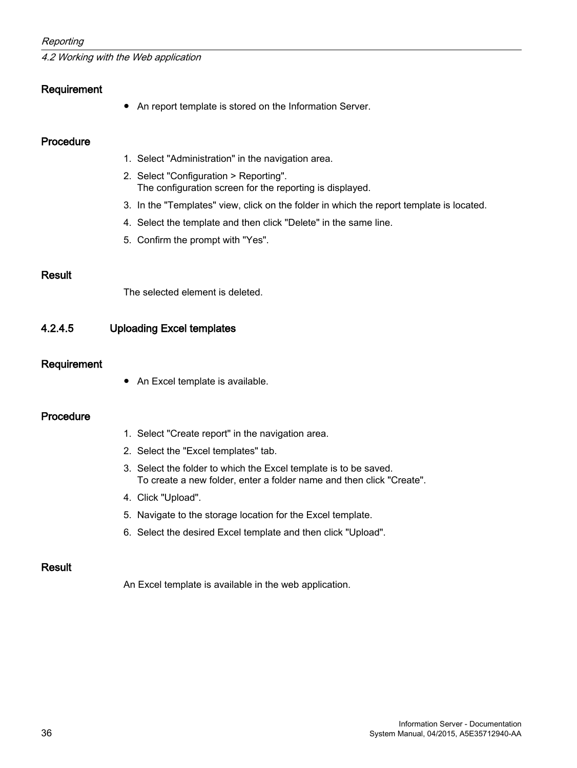<span id="page-35-0"></span>4.2 Working with the Web application

#### Requirement

|  |  |  |  |  | • An report template is stored on the Information Server. |  |
|--|--|--|--|--|-----------------------------------------------------------|--|
|--|--|--|--|--|-----------------------------------------------------------|--|

#### Procedure

- 1. Select "Administration" in the navigation area.
- 2. Select "Configuration > Reporting". The configuration screen for the reporting is displayed.
- 3. In the "Templates" view, click on the folder in which the report template is located.
- 4. Select the template and then click "Delete" in the same line.
- 5. Confirm the prompt with "Yes".

#### Result

The selected element is deleted.

#### 4.2.4.5 Uploading Excel templates

#### Requirement

● An Excel template is available.

#### Procedure

- 1. Select "Create report" in the navigation area.
- 2. Select the "Excel templates" tab.
- 3. Select the folder to which the Excel template is to be saved. To create a new folder, enter a folder name and then click "Create".
- 4. Click "Upload".
- 5. Navigate to the storage location for the Excel template.
- 6. Select the desired Excel template and then click "Upload".

#### Result

An Excel template is available in the web application.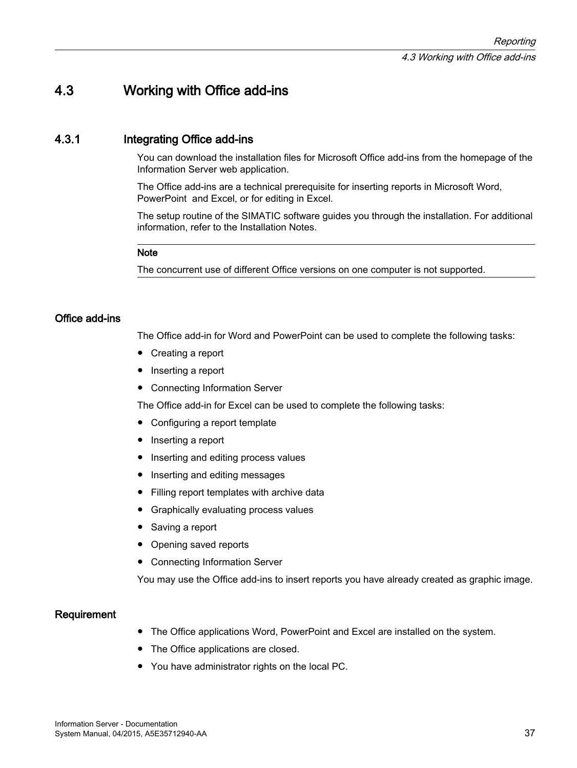## <span id="page-36-0"></span>4.3 Working with Office add-ins

#### 4.3.1 Integrating Office add-ins

You can download the installation files for Microsoft Office add-ins from the homepage of the Information Server web application.

The Office add-ins are a technical prerequisite for inserting reports in Microsoft Word, PowerPoint and Excel, or for editing in Excel.

The setup routine of the SIMATIC software guides you through the installation. For additional information, refer to the Installation Notes.

#### **Note**

The concurrent use of different Office versions on one computer is not supported.

#### Office add-ins

The Office add-in for Word and PowerPoint can be used to complete the following tasks:

- Creating a report
- Inserting a report
- Connecting Information Server

The Office add-in for Excel can be used to complete the following tasks:

- Configuring a report template
- Inserting a report
- Inserting and editing process values
- Inserting and editing messages
- Filling report templates with archive data
- Graphically evaluating process values
- Saving a report
- Opening saved reports
- Connecting Information Server

You may use the Office add-ins to insert reports you have already created as graphic image.

#### Requirement

- The Office applications Word, PowerPoint and Excel are installed on the system.
- The Office applications are closed.
- You have administrator rights on the local PC.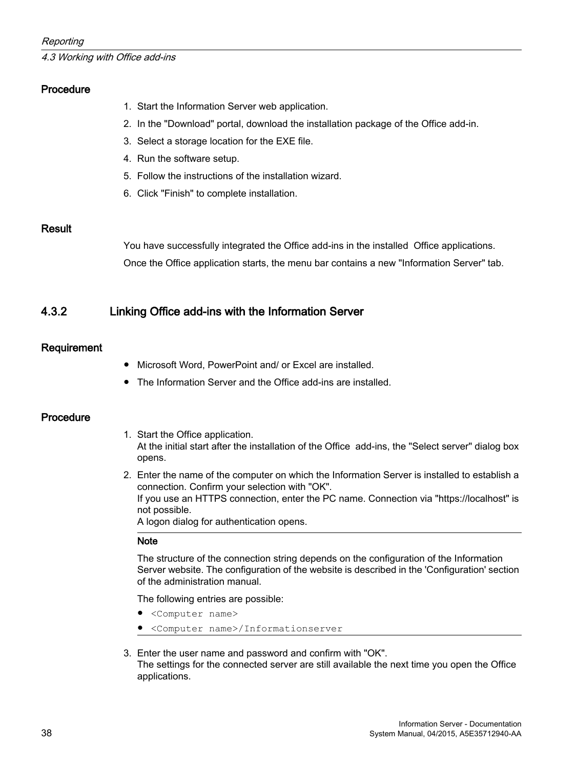<span id="page-37-0"></span>4.3 Working with Office add-ins

#### **Procedure**

- 1. Start the Information Server web application.
- 2. In the "Download" portal, download the installation package of the Office add-in.
- 3. Select a storage location for the EXE file.
- 4. Run the software setup.
- 5. Follow the instructions of the installation wizard.
- 6. Click "Finish" to complete installation.

#### Result

You have successfully integrated the Office add-ins in the installed Office applications. Once the Office application starts, the menu bar contains a new "Information Server" tab.

#### 4.3.2 Linking Office add-ins with the Information Server

#### Requirement

- Microsoft Word, PowerPoint and/ or Excel are installed.
- The Information Server and the Office add-ins are installed.

#### Procedure

- 1. Start the Office application. At the initial start after the installation of the Office add-ins, the "Select server" dialog box opens.
- 2. Enter the name of the computer on which the Information Server is installed to establish a connection. Confirm your selection with "OK". If you use an HTTPS connection, enter the PC name. Connection via "https://localhost" is not possible. A logon dialog for authentication opens.

#### **Note**

The structure of the connection string depends on the configuration of the Information Server website. The configuration of the website is described in the 'Configuration' section of the administration manual.

The following entries are possible:

- <Computer name>
- <Computer name>/Informationserver
- 3. Enter the user name and password and confirm with "OK". The settings for the connected server are still available the next time you open the Office applications.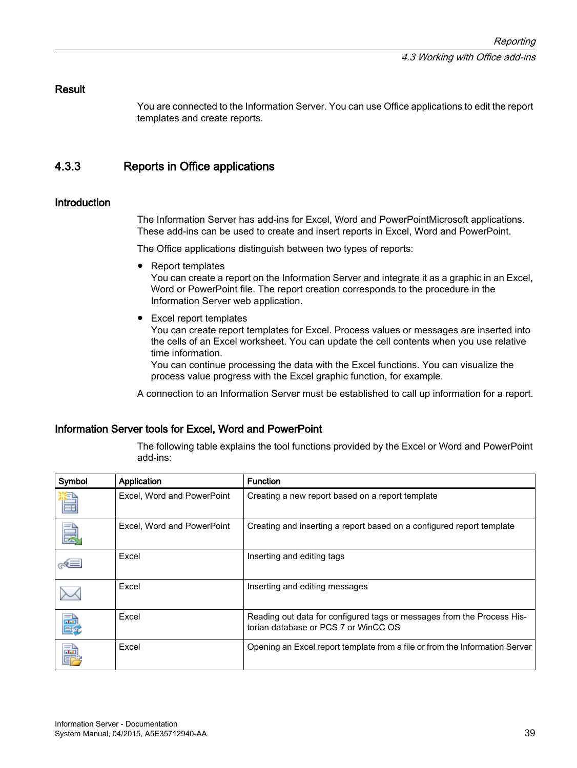#### <span id="page-38-0"></span>Result

You are connected to the Information Server. You can use Office applications to edit the report templates and create reports.

#### 4.3.3 Reports in Office applications

#### Introduction

The Information Server has add-ins for Excel, Word and PowerPointMicrosoft applications. These add-ins can be used to create and insert reports in Excel, Word and PowerPoint.

The Office applications distinguish between two types of reports:

● Report templates

You can create a report on the Information Server and integrate it as a graphic in an Excel, Word or PowerPoint file. The report creation corresponds to the procedure in the Information Server web application.

● Excel report templates

You can create report templates for Excel. Process values or messages are inserted into the cells of an Excel worksheet. You can update the cell contents when you use relative time information.

You can continue processing the data with the Excel functions. You can visualize the process value progress with the Excel graphic function, for example.

A connection to an Information Server must be established to call up information for a report.

#### Information Server tools for Excel, Word and PowerPoint

The following table explains the tool functions provided by the Excel or Word and PowerPoint add-ins:

| Symbol | Application                | <b>Function</b>                                                                                                |
|--------|----------------------------|----------------------------------------------------------------------------------------------------------------|
| ê      | Excel, Word and PowerPoint | Creating a new report based on a report template                                                               |
|        | Excel, Word and PowerPoint | Creating and inserting a report based on a configured report template                                          |
| ∢≡     | Excel                      | Inserting and editing tags                                                                                     |
|        | Excel                      | Inserting and editing messages                                                                                 |
| 轂      | Excel                      | Reading out data for configured tags or messages from the Process His-<br>torian database or PCS 7 or WinCC OS |
| 盁      | Excel                      | Opening an Excel report template from a file or from the Information Server                                    |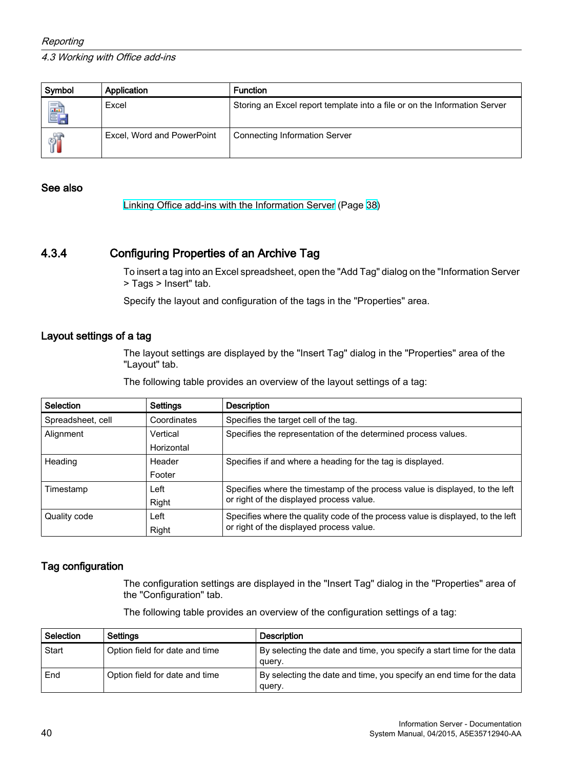#### <span id="page-39-0"></span>4.3 Working with Office add-ins

| Symbol | Application                | <b>Function</b>                                                           |
|--------|----------------------------|---------------------------------------------------------------------------|
| 鶝      | Excel                      | Storing an Excel report template into a file or on the Information Server |
| ஞ்ச    | Excel, Word and PowerPoint | Connecting Information Server                                             |

#### See also

[Linking Office add-ins with the Information Server](#page-37-0) (Page [38](#page-37-0))

#### 4.3.4 Configuring Properties of an Archive Tag

To insert a tag into an Excel spreadsheet, open the "Add Tag" dialog on the "Information Server > Tags > Insert" tab.

Specify the layout and configuration of the tags in the "Properties" area.

#### Layout settings of a tag

The layout settings are displayed by the "Insert Tag" dialog in the "Properties" area of the "Layout" tab.

The following table provides an overview of the layout settings of a tag:

| <b>Selection</b>  | <b>Settings</b> | <b>Description</b>                                                              |
|-------------------|-----------------|---------------------------------------------------------------------------------|
| Spreadsheet, cell | Coordinates     | Specifies the target cell of the tag.                                           |
| Alignment         | Vertical        | Specifies the representation of the determined process values.                  |
|                   | Horizontal      |                                                                                 |
| Heading           | Header          | Specifies if and where a heading for the tag is displayed.                      |
|                   | Footer          |                                                                                 |
| Timestamp         | Left            | Specifies where the timestamp of the process value is displayed, to the left    |
|                   | Right           | or right of the displayed process value.                                        |
| Quality code      | Left            | Specifies where the quality code of the process value is displayed, to the left |
|                   | Right           | or right of the displayed process value.                                        |

#### Tag configuration

The configuration settings are displayed in the "Insert Tag" dialog in the "Properties" area of the "Configuration" tab.

The following table provides an overview of the configuration settings of a tag:

| Selection | <b>Settings</b>                | <b>Description</b>                                                              |
|-----------|--------------------------------|---------------------------------------------------------------------------------|
| Start     | Option field for date and time | By selecting the date and time, you specify a start time for the data<br>query. |
| End       | Option field for date and time | By selecting the date and time, you specify an end time for the data<br>query.  |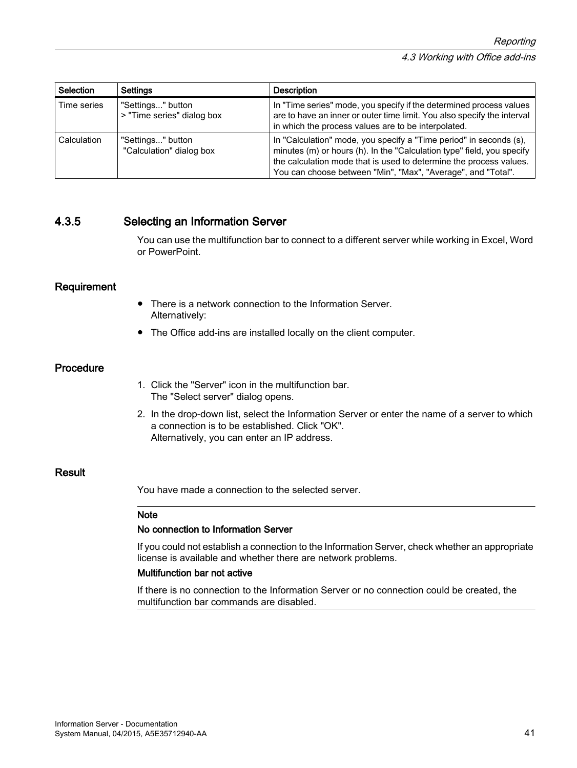<span id="page-40-0"></span>

| <b>Selection</b> | <b>Settings</b>                                 | <b>Description</b>                                                                                                                                                                                                                                                                 |
|------------------|-------------------------------------------------|------------------------------------------------------------------------------------------------------------------------------------------------------------------------------------------------------------------------------------------------------------------------------------|
| Time series      | "Settings" button<br>> "Time series" dialog box | In "Time series" mode, you specify if the determined process values<br>are to have an inner or outer time limit. You also specify the interval<br>in which the process values are to be interpolated.                                                                              |
| Calculation      | "Settings" button<br>"Calculation" dialog box   | In "Calculation" mode, you specify a "Time period" in seconds (s),<br>minutes (m) or hours (h). In the "Calculation type" field, you specify<br>the calculation mode that is used to determine the process values.<br>You can choose between "Min", "Max", "Average", and "Total". |

#### 4.3.5 Selecting an Information Server

You can use the multifunction bar to connect to a different server while working in Excel, Word or PowerPoint.

#### Requirement

- There is a network connection to the Information Server. Alternatively:
- The Office add-ins are installed locally on the client computer.

#### Procedure

- 1. Click the "Server" icon in the multifunction bar. The "Select server" dialog opens.
- 2. In the drop-down list, select the Information Server or enter the name of a server to which a connection is to be established. Click "OK". Alternatively, you can enter an IP address.

#### Result

You have made a connection to the selected server.

#### **Note**

#### No connection to Information Server

If you could not establish a connection to the Information Server, check whether an appropriate license is available and whether there are network problems.

#### Multifunction bar not active

If there is no connection to the Information Server or no connection could be created, the multifunction bar commands are disabled.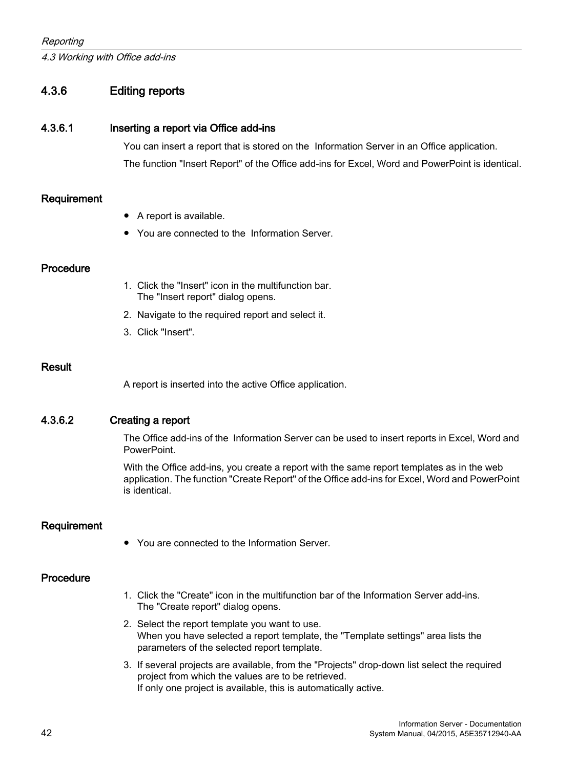<span id="page-41-0"></span>4.3 Working with Office add-ins

#### 4.3.6 Editing reports

#### 4.3.6.1 Inserting a report via Office add-ins

You can insert a report that is stored on the Information Server in an Office application. The function "Insert Report" of the Office add-ins for Excel, Word and PowerPoint is identical.

#### Requirement

- A report is available.
- You are connected to the Information Server.

#### Procedure

- 1. Click the "Insert" icon in the multifunction bar. The "Insert report" dialog opens.
- 2. Navigate to the required report and select it.
- 3. Click "Insert".

#### Result

A report is inserted into the active Office application.

#### 4.3.6.2 Creating a report

The Office add-ins of the Information Server can be used to insert reports in Excel, Word and PowerPoint.

With the Office add-ins, you create a report with the same report templates as in the web application. The function "Create Report" of the Office add-ins for Excel, Word and PowerPoint is identical.

#### Requirement

● You are connected to the Information Server.

- 1. Click the "Create" icon in the multifunction bar of the Information Server add-ins. The "Create report" dialog opens.
- 2. Select the report template you want to use. When you have selected a report template, the "Template settings" area lists the parameters of the selected report template.
- 3. If several projects are available, from the "Projects" drop-down list select the required project from which the values are to be retrieved. If only one project is available, this is automatically active.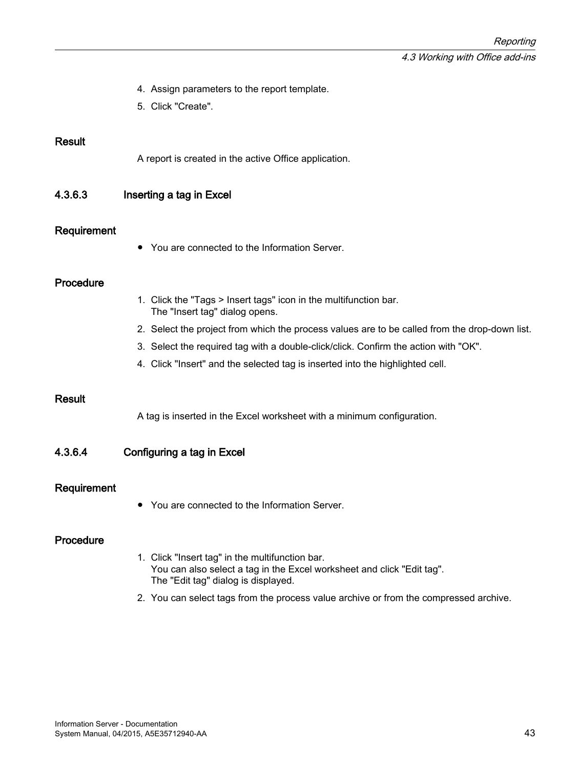4.3 Working with Office add-ins

- 4. Assign parameters to the report template.
- 5. Click "Create".

#### <span id="page-42-0"></span>Result

A report is created in the active Office application.

#### 4.3.6.3 Inserting a tag in Excel

#### Requirement

● You are connected to the Information Server.

#### Procedure

- 1. Click the "Tags > Insert tags" icon in the multifunction bar. The "Insert tag" dialog opens.
- 2. Select the project from which the process values are to be called from the drop-down list.
- 3. Select the required tag with a double-click/click. Confirm the action with "OK".
- 4. Click "Insert" and the selected tag is inserted into the highlighted cell.

#### **Result**

A tag is inserted in the Excel worksheet with a minimum configuration.

#### 4.3.6.4 Configuring a tag in Excel

#### Requirement

● You are connected to the Information Server

- 1. Click "Insert tag" in the multifunction bar. You can also select a tag in the Excel worksheet and click "Edit tag". The "Edit tag" dialog is displayed.
- 2. You can select tags from the process value archive or from the compressed archive.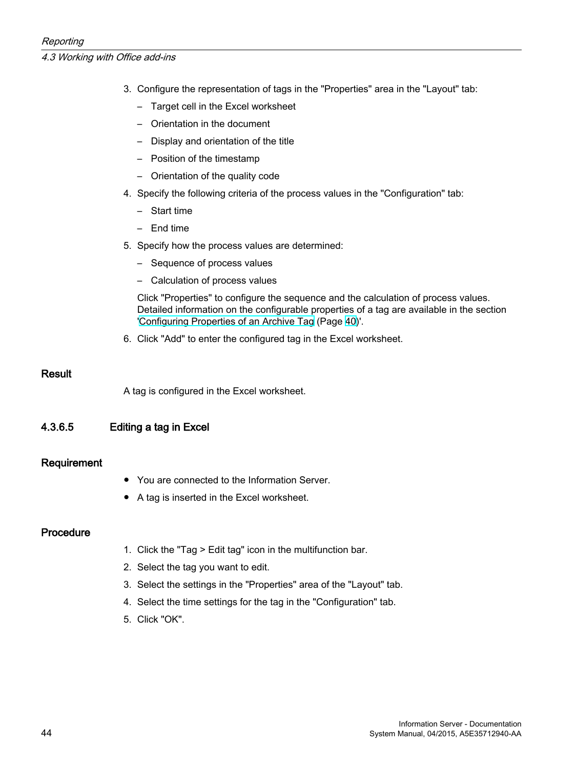<span id="page-43-0"></span>4.3 Working with Office add-ins

- 3. Configure the representation of tags in the "Properties" area in the "Layout" tab:
	- Target cell in the Excel worksheet
	- Orientation in the document
	- Display and orientation of the title
	- Position of the timestamp
	- Orientation of the quality code
- 4. Specify the following criteria of the process values in the "Configuration" tab:
	- Start time
	- End time
- 5. Specify how the process values are determined:
	- Sequence of process values
	- Calculation of process values

Click "Properties" to configure the sequence and the calculation of process values. Detailed information on the configurable properties of a tag are available in the section '[Configuring Properties of an Archive Tag](#page-39-0) (Page [40\)](#page-39-0)'.

6. Click "Add" to enter the configured tag in the Excel worksheet.

#### Result

A tag is configured in the Excel worksheet.

#### 4.3.6.5 Editing a tag in Excel

#### Requirement

- You are connected to the Information Server.
- A tag is inserted in the Excel worksheet.

- 1. Click the "Tag > Edit tag" icon in the multifunction bar.
- 2. Select the tag you want to edit.
- 3. Select the settings in the "Properties" area of the "Layout" tab.
- 4. Select the time settings for the tag in the "Configuration" tab.
- 5. Click "OK".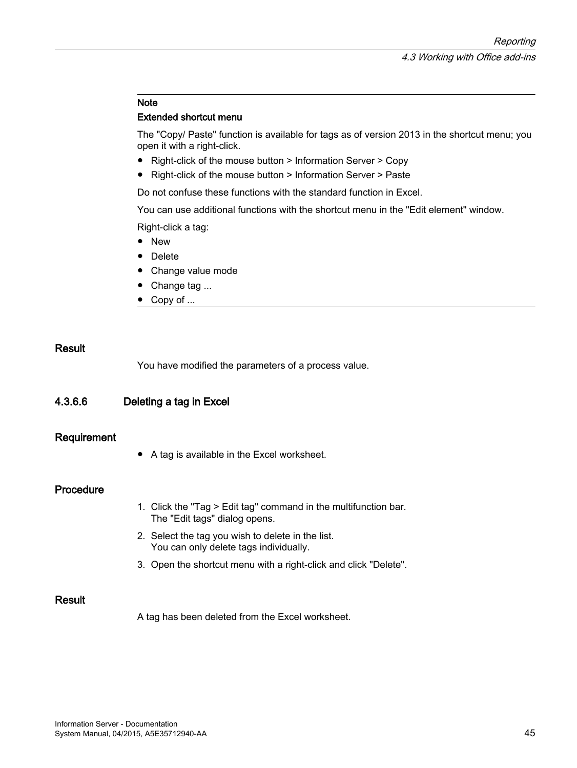#### <span id="page-44-0"></span>**Note**

#### Extended shortcut menu

The "Copy/ Paste" function is available for tags as of version 2013 in the shortcut menu; you open it with a right-click.

- Right-click of the mouse button > Information Server > Copy
- Right-click of the mouse button > Information Server > Paste

Do not confuse these functions with the standard function in Excel.

You can use additional functions with the shortcut menu in the "Edit element" window.

Right-click a tag:

- New
- Delete
- Change value mode
- Change tag ...
- Copy of ...

#### Result

You have modified the parameters of a process value.

#### 4.3.6.6 Deleting a tag in Excel

#### Requirement

● A tag is available in the Excel worksheet.

#### Procedure

- 1. Click the "Tag > Edit tag" command in the multifunction bar. The "Edit tags" dialog opens.
- 2. Select the tag you wish to delete in the list. You can only delete tags individually.
- 3. Open the shortcut menu with a right-click and click "Delete".

#### **Result**

A tag has been deleted from the Excel worksheet.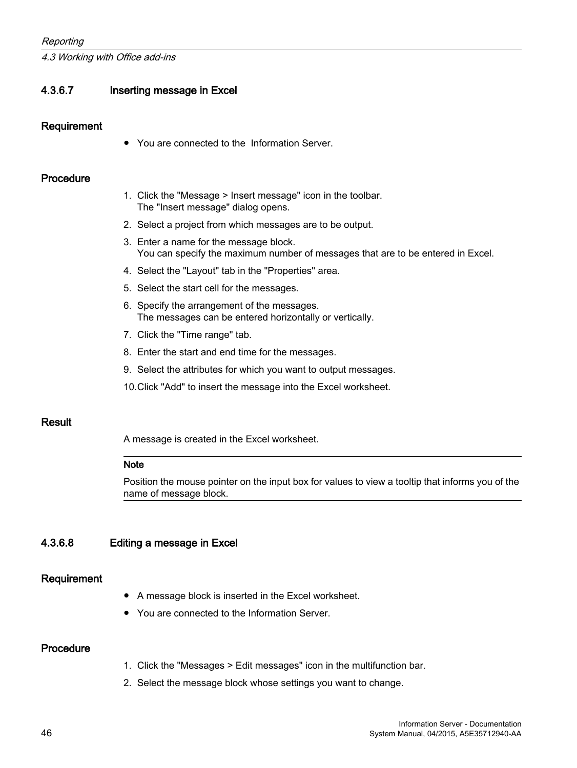<span id="page-45-0"></span>4.3 Working with Office add-ins

#### 4.3.6.7 Inserting message in Excel

#### Requirement

● You are connected to the Information Server.

#### Procedure

- 1. Click the "Message > Insert message" icon in the toolbar. The "Insert message" dialog opens.
- 2. Select a project from which messages are to be output.
- 3. Enter a name for the message block. You can specify the maximum number of messages that are to be entered in Excel.
- 4. Select the "Layout" tab in the "Properties" area.
- 5. Select the start cell for the messages.
- 6. Specify the arrangement of the messages. The messages can be entered horizontally or vertically.
- 7. Click the "Time range" tab.
- 8. Enter the start and end time for the messages.
- 9. Select the attributes for which you want to output messages.
- 10.Click "Add" to insert the message into the Excel worksheet.

#### Result

A message is created in the Excel worksheet.

#### **Note**

Position the mouse pointer on the input box for values to view a tooltip that informs you of the name of message block.

#### 4.3.6.8 Editing a message in Excel

#### Requirement

- A message block is inserted in the Excel worksheet.
- You are connected to the Information Server

- 1. Click the "Messages > Edit messages" icon in the multifunction bar.
- 2. Select the message block whose settings you want to change.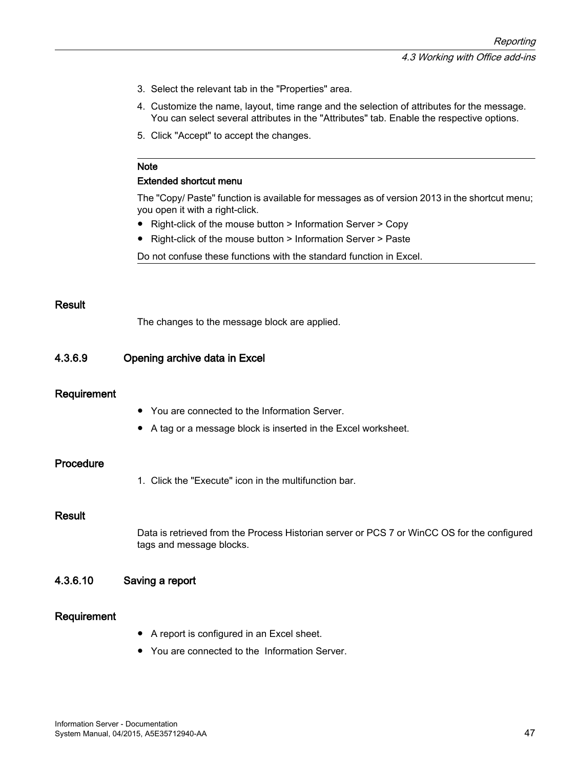- <span id="page-46-0"></span>3. Select the relevant tab in the "Properties" area.
- 4. Customize the name, layout, time range and the selection of attributes for the message. You can select several attributes in the "Attributes" tab. Enable the respective options.
- 5. Click "Accept" to accept the changes.

#### **Note**

#### Extended shortcut menu

The "Copy/ Paste" function is available for messages as of version 2013 in the shortcut menu; you open it with a right-click.

- Right-click of the mouse button > Information Server > Copy
- Right-click of the mouse button > Information Server > Paste

Do not confuse these functions with the standard function in Excel.

#### **Result**

The changes to the message block are applied.

#### 4.3.6.9 Opening archive data in Excel

#### Requirement

- You are connected to the Information Server
- A tag or a message block is inserted in the Excel worksheet.

#### Procedure

1. Click the "Execute" icon in the multifunction bar.

#### Result

Data is retrieved from the Process Historian server or PCS 7 or WinCC OS for the configured tags and message blocks.

#### 4.3.6.10 Saving a report

#### Requirement

- A report is configured in an Excel sheet.
- You are connected to the Information Server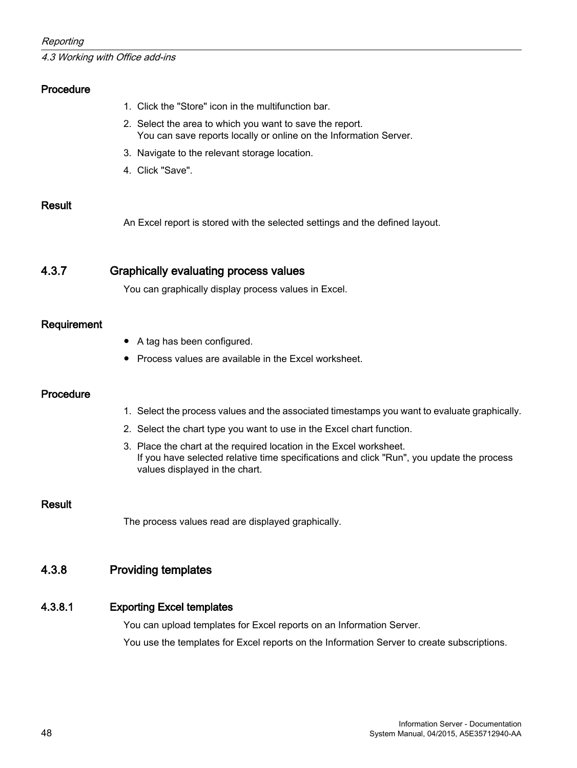<span id="page-47-0"></span>4.3 Working with Office add-ins

#### Procedure

- 1. Click the "Store" icon in the multifunction bar.
- 2. Select the area to which you want to save the report. You can save reports locally or online on the Information Server.
- 3. Navigate to the relevant storage location.
- 4. Click "Save".

#### Result

An Excel report is stored with the selected settings and the defined layout.

#### 4.3.7 Graphically evaluating process values

You can graphically display process values in Excel.

#### Requirement

- A tag has been configured.
- Process values are available in the Excel worksheet.

#### Procedure

- 1. Select the process values and the associated timestamps you want to evaluate graphically.
- 2. Select the chart type you want to use in the Excel chart function.
- 3. Place the chart at the required location in the Excel worksheet. If you have selected relative time specifications and click "Run", you update the process values displayed in the chart.

#### Result

The process values read are displayed graphically.

#### 4.3.8 Providing templates

#### 4.3.8.1 Exporting Excel templates

You can upload templates for Excel reports on an Information Server.

You use the templates for Excel reports on the Information Server to create subscriptions.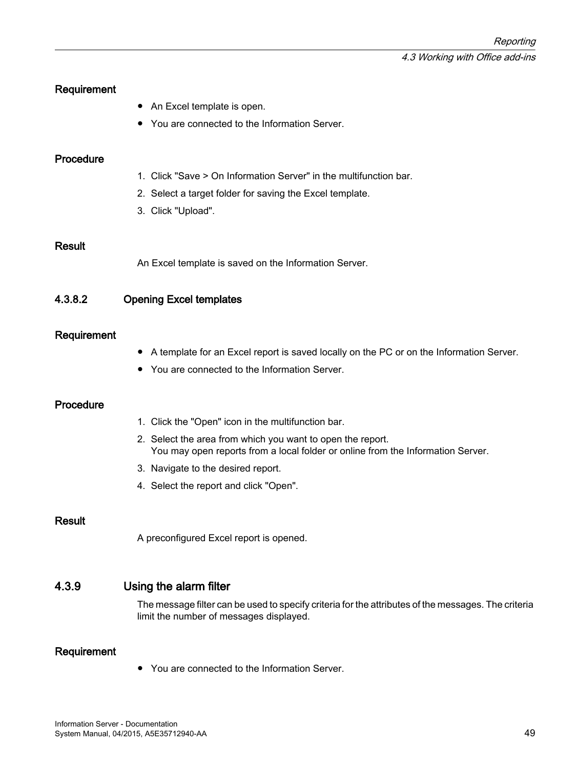4.3 Working with Office add-ins

<span id="page-48-0"></span>

| Requirement   |                                                                                                                                                |
|---------------|------------------------------------------------------------------------------------------------------------------------------------------------|
|               | An Excel template is open.<br>$\bullet$                                                                                                        |
|               | You are connected to the Information Server.                                                                                                   |
|               |                                                                                                                                                |
| Procedure     |                                                                                                                                                |
|               | 1. Click "Save > On Information Server" in the multifunction bar.                                                                              |
|               | 2. Select a target folder for saving the Excel template.                                                                                       |
|               | 3. Click "Upload".                                                                                                                             |
|               |                                                                                                                                                |
| <b>Result</b> |                                                                                                                                                |
|               | An Excel template is saved on the Information Server.                                                                                          |
| 4.3.8.2       | <b>Opening Excel templates</b>                                                                                                                 |
|               |                                                                                                                                                |
| Requirement   |                                                                                                                                                |
|               | A template for an Excel report is saved locally on the PC or on the Information Server.                                                        |
|               | You are connected to the Information Server.                                                                                                   |
|               |                                                                                                                                                |
| Procedure     |                                                                                                                                                |
|               | 1. Click the "Open" icon in the multifunction bar.                                                                                             |
|               | 2. Select the area from which you want to open the report.<br>You may open reports from a local folder or online from the Information Server.  |
|               | 3. Navigate to the desired report.                                                                                                             |
|               | 4. Select the report and click "Open".                                                                                                         |
|               |                                                                                                                                                |
| <b>Result</b> |                                                                                                                                                |
|               | A preconfigured Excel report is opened.                                                                                                        |
|               |                                                                                                                                                |
| 4.3.9         | Using the alarm filter                                                                                                                         |
|               |                                                                                                                                                |
|               | The message filter can be used to specify criteria for the attributes of the messages. The criteria<br>limit the number of messages displayed. |
|               |                                                                                                                                                |
| Requirement   |                                                                                                                                                |
|               | You are connected to the Information Server.                                                                                                   |
|               |                                                                                                                                                |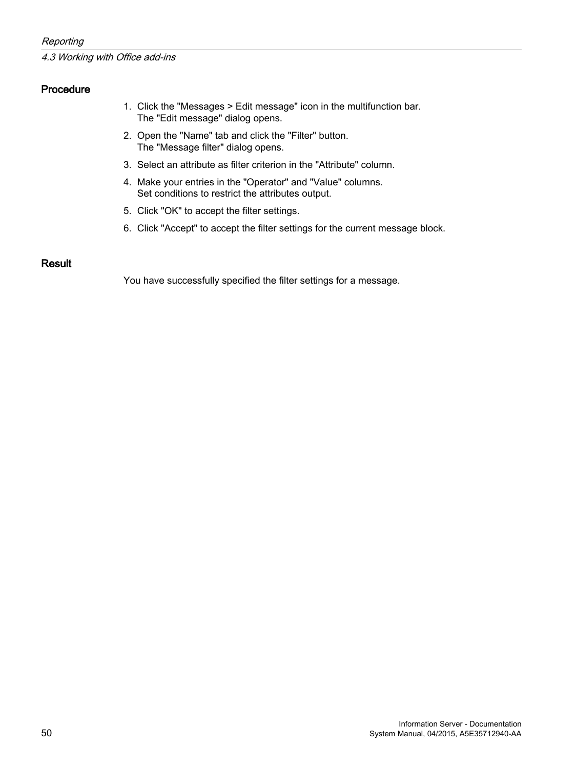4.3 Working with Office add-ins

#### Procedure

- 1. Click the "Messages > Edit message" icon in the multifunction bar. The "Edit message" dialog opens.
- 2. Open the "Name" tab and click the "Filter" button. The "Message filter" dialog opens.
- 3. Select an attribute as filter criterion in the "Attribute" column.
- 4. Make your entries in the "Operator" and "Value" columns. Set conditions to restrict the attributes output.
- 5. Click "OK" to accept the filter settings.
- 6. Click "Accept" to accept the filter settings for the current message block.

#### Result

You have successfully specified the filter settings for a message.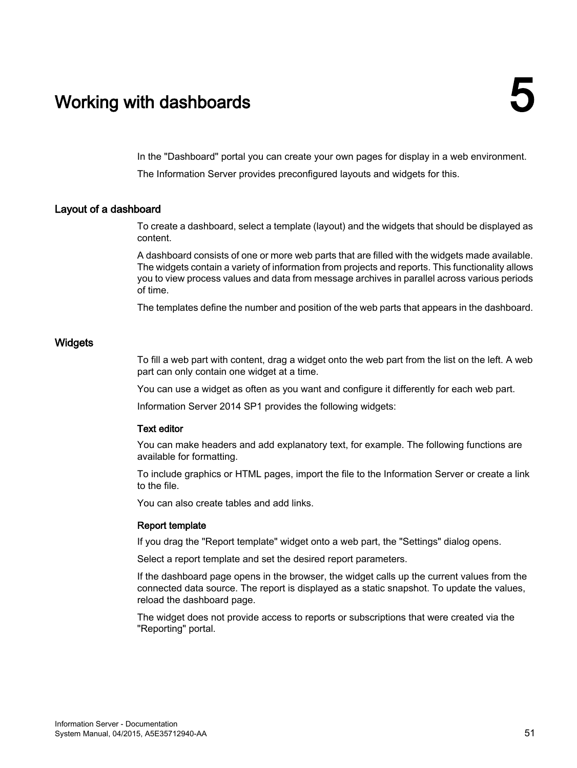## <span id="page-50-0"></span>Working with dashboards 5

In the "Dashboard" portal you can create your own pages for display in a web environment.

The Information Server provides preconfigured layouts and widgets for this.

#### Layout of a dashboard

To create a dashboard, select a template (layout) and the widgets that should be displayed as content.

A dashboard consists of one or more web parts that are filled with the widgets made available. The widgets contain a variety of information from projects and reports. This functionality allows you to view process values and data from message archives in parallel across various periods of time.

The templates define the number and position of the web parts that appears in the dashboard.

#### **Widgets**

To fill a web part with content, drag a widget onto the web part from the list on the left. A web part can only contain one widget at a time.

You can use a widget as often as you want and configure it differently for each web part.

Information Server 2014 SP1 provides the following widgets:

#### Text editor

You can make headers and add explanatory text, for example. The following functions are available for formatting.

To include graphics or HTML pages, import the file to the Information Server or create a link to the file.

You can also create tables and add links.

#### Report template

If you drag the "Report template" widget onto a web part, the "Settings" dialog opens.

Select a report template and set the desired report parameters.

If the dashboard page opens in the browser, the widget calls up the current values from the connected data source. The report is displayed as a static snapshot. To update the values, reload the dashboard page.

The widget does not provide access to reports or subscriptions that were created via the "Reporting" portal.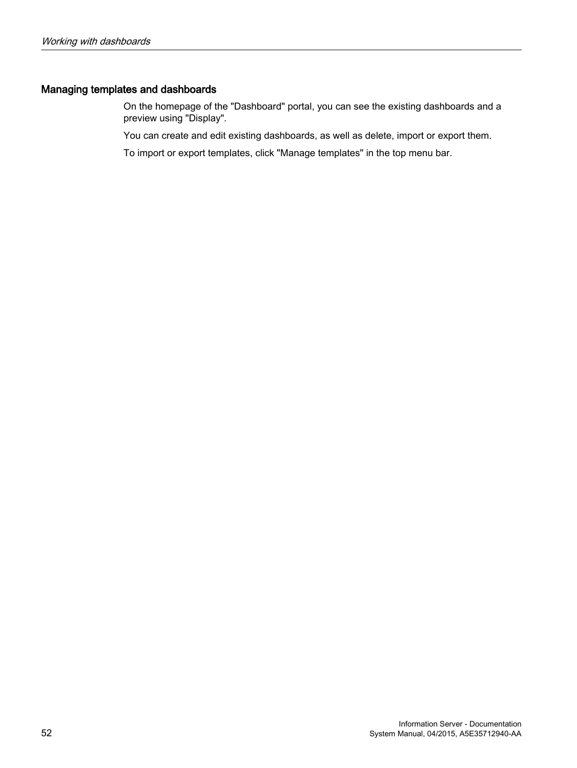#### Managing templates and dashboards

On the homepage of the "Dashboard" portal, you can see the existing dashboards and a preview using "Display".

You can create and edit existing dashboards, as well as delete, import or export them.

To import or export templates, click "Manage templates" in the top menu bar.